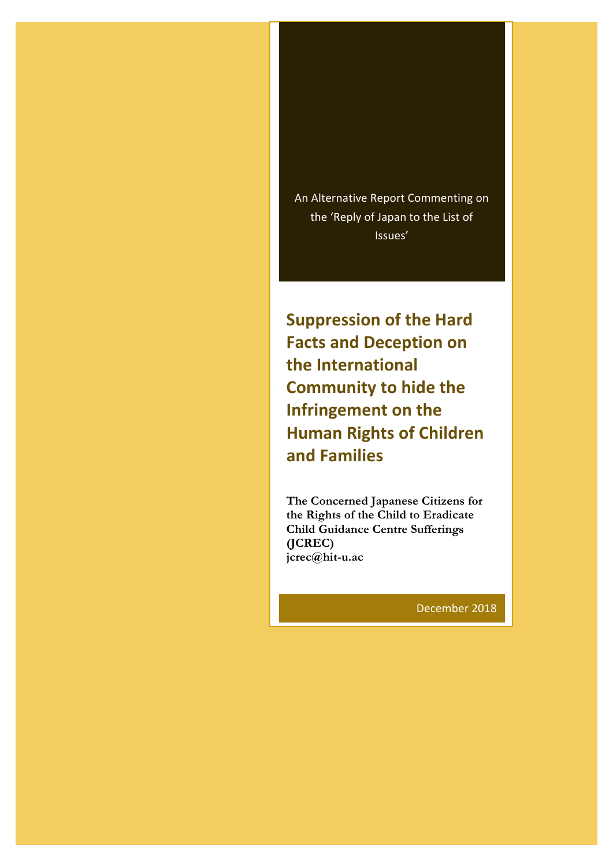An Alternative Report Commenting on the 'Reply of Japan to the List of Issues'

**Suppression of the Hard Facts and Deception on the International Community to hide the Infringement on the Human Rights of Children and Families**

**The Concerned Japanese Citizens for the Rights of the Child to Eradicate Child Guidance Centre Sufferings (JCREC) jcrec@hit-u.ac** 

December 2018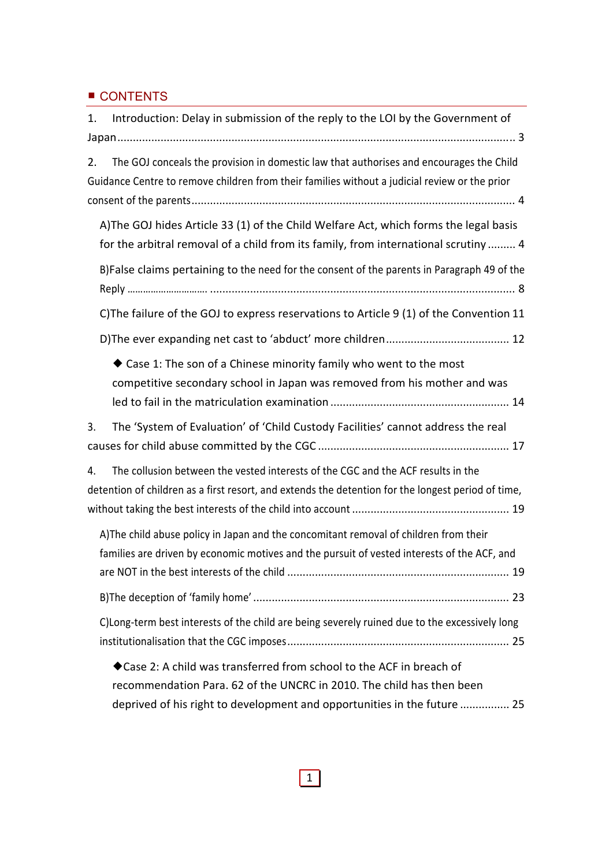## ■ CONTENTS

| 1. | Introduction: Delay in submission of the reply to the LOI by the Government of                                                                                                           |
|----|------------------------------------------------------------------------------------------------------------------------------------------------------------------------------------------|
|    |                                                                                                                                                                                          |
| 2. | The GOJ conceals the provision in domestic law that authorises and encourages the Child<br>Guidance Centre to remove children from their families without a judicial review or the prior |
|    | A) The GOJ hides Article 33 (1) of the Child Welfare Act, which forms the legal basis<br>for the arbitral removal of a child from its family, from international scrutiny  4             |
|    | B)False claims pertaining to the need for the consent of the parents in Paragraph 49 of the                                                                                              |
|    | C) The failure of the GOJ to express reservations to Article 9 (1) of the Convention 11                                                                                                  |
|    |                                                                                                                                                                                          |
|    | ◆ Case 1: The son of a Chinese minority family who went to the most<br>competitive secondary school in Japan was removed from his mother and was                                         |
| 3. | The 'System of Evaluation' of 'Child Custody Facilities' cannot address the real                                                                                                         |
|    |                                                                                                                                                                                          |
| 4. | The collusion between the vested interests of the CGC and the ACF results in the<br>detention of children as a first resort, and extends the detention for the longest period of time,   |
|    | A) The child abuse policy in Japan and the concomitant removal of children from their<br>families are driven by economic motives and the pursuit of vested interests of the ACF, and     |
|    |                                                                                                                                                                                          |
|    | C)Long-term best interests of the child are being severely ruined due to the excessively long                                                                                            |
|    | ◆ Case 2: A child was transferred from school to the ACF in breach of                                                                                                                    |
|    | recommendation Para. 62 of the UNCRC in 2010. The child has then been<br>deprived of his right to development and opportunities in the future  25                                        |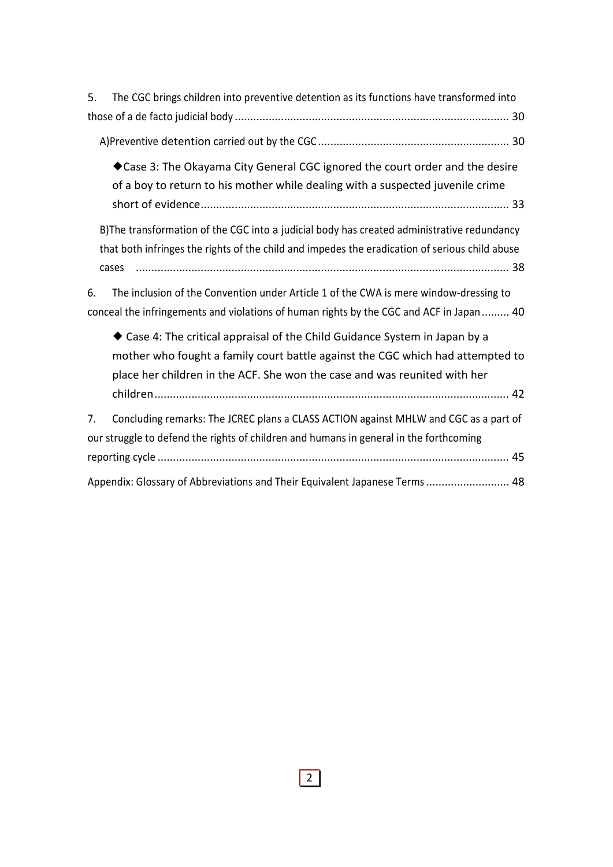| The CGC brings children into preventive detention as its functions have transformed into<br>5.                                                                                                                                             |
|--------------------------------------------------------------------------------------------------------------------------------------------------------------------------------------------------------------------------------------------|
|                                                                                                                                                                                                                                            |
|                                                                                                                                                                                                                                            |
| Case 3: The Okayama City General CGC ignored the court order and the desire<br>of a boy to return to his mother while dealing with a suspected juvenile crime                                                                              |
| B) The transformation of the CGC into a judicial body has created administrative redundancy<br>that both infringes the rights of the child and impedes the eradication of serious child abuse<br>cases                                     |
| The inclusion of the Convention under Article 1 of the CWA is mere window-dressing to<br>6.<br>conceal the infringements and violations of human rights by the CGC and ACF in Japan 40                                                     |
| ◆ Case 4: The critical appraisal of the Child Guidance System in Japan by a<br>mother who fought a family court battle against the CGC which had attempted to<br>place her children in the ACF. She won the case and was reunited with her |
| Concluding remarks: The JCREC plans a CLASS ACTION against MHLW and CGC as a part of<br>7.<br>our struggle to defend the rights of children and humans in general in the forthcoming                                                       |
| Appendix: Glossary of Abbreviations and Their Equivalent Japanese Terms 48                                                                                                                                                                 |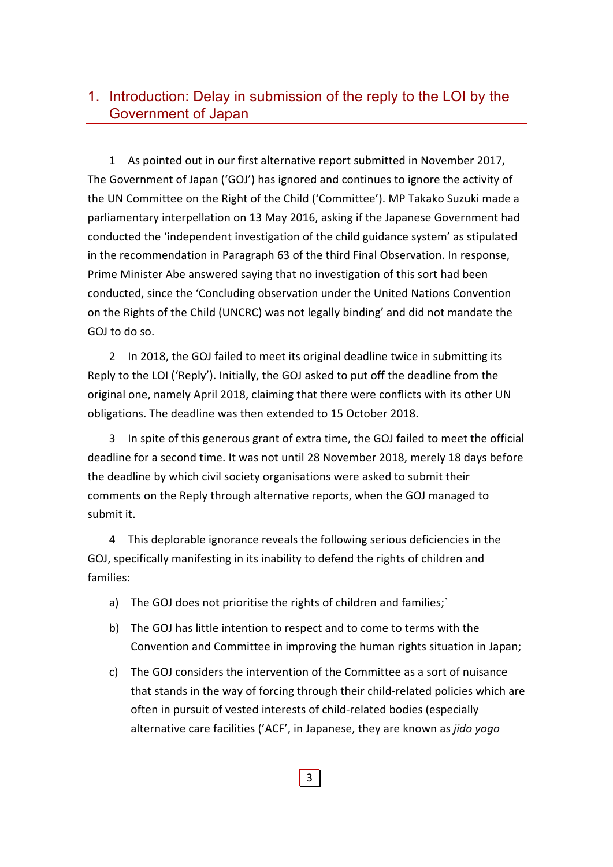# 1. Introduction: Delay in submission of the reply to the LOI by the Government of Japan

1 As pointed out in our first alternative report submitted in November 2017, The Government of Japan ('GOJ') has ignored and continues to ignore the activity of the UN Committee on the Right of the Child ('Committee'). MP Takako Suzuki made a parliamentary interpellation on 13 May 2016, asking if the Japanese Government had conducted the 'independent investigation of the child guidance system' as stipulated in the recommendation in Paragraph 63 of the third Final Observation. In response, Prime Minister Abe answered saying that no investigation of this sort had been conducted, since the 'Concluding observation under the United Nations Convention on the Rights of the Child (UNCRC) was not legally binding' and did not mandate the GOJ to do so.

2 In 2018, the GOJ failed to meet its original deadline twice in submitting its Reply to the LOI ('Reply'). Initially, the GOJ asked to put off the deadline from the original one, namely April 2018, claiming that there were conflicts with its other UN obligations. The deadline was then extended to 15 October 2018.

3 In spite of this generous grant of extra time, the GOJ failed to meet the official deadline for a second time. It was not until 28 November 2018, merely 18 days before the deadline by which civil society organisations were asked to submit their comments on the Reply through alternative reports, when the GOJ managed to submit it.

4 This deplorable ignorance reveals the following serious deficiencies in the GOJ, specifically manifesting in its inability to defend the rights of children and families:

- a) The GOJ does not prioritise the rights of children and families;`
- b) The GOJ has little intention to respect and to come to terms with the Convention and Committee in improving the human rights situation in Japan;
- c) The GOJ considers the intervention of the Committee as a sort of nuisance that stands in the way of forcing through their child‐related policies which are often in pursuit of vested interests of child‐related bodies (especially alternative care facilities ('ACF', in Japanese, they are known as *jido yogo*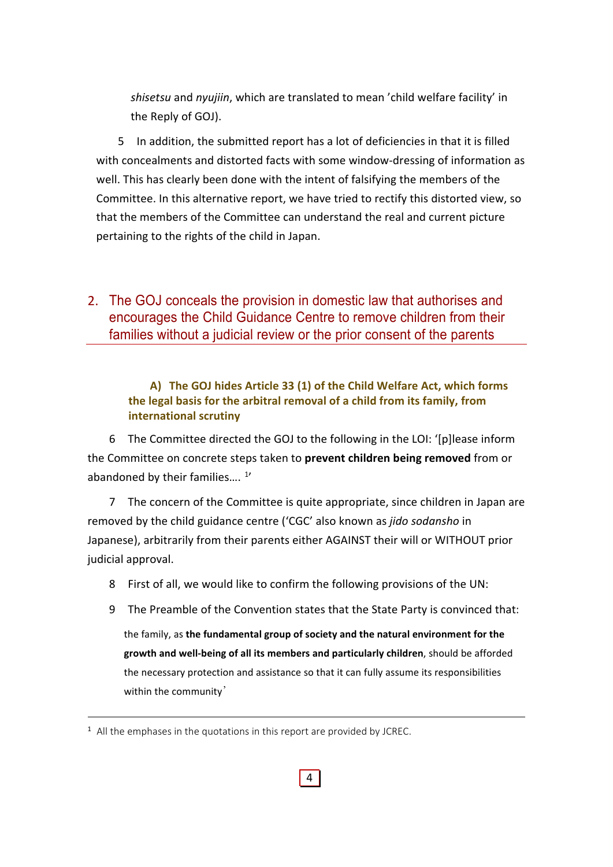*shisetsu* and *nyujiin*, which are translated to mean 'child welfare facility' in the Reply of GOJ).

5 In addition, the submitted report has a lot of deficiencies in that it is filled with concealments and distorted facts with some window-dressing of information as well. This has clearly been done with the intent of falsifying the members of the Committee. In this alternative report, we have tried to rectify this distorted view, so that the members of the Committee can understand the real and current picture pertaining to the rights of the child in Japan.

2. The GOJ conceals the provision in domestic law that authorises and encourages the Child Guidance Centre to remove children from their families without a judicial review or the prior consent of the parents

**A) The GOJ hides Article 33 (1) of the Child Welfare Act, which forms the legal basis for the arbitral removal of a child from its family, from international scrutiny**

6 The Committee directed the GOJ to the following in the LOI: '[p]lease inform the Committee on concrete steps taken to **prevent children being removed** from or abandoned by their families....<sup>1</sup>

7 The concern of the Committee is quite appropriate, since children in Japan are removed by the child guidance centre ('CGC' also known as *jido sodansho* in Japanese), arbitrarily from their parents either AGAINST their will or WITHOUT prior judicial approval.

- 8 First of all, we would like to confirm the following provisions of the UN:
- 9 The Preamble of the Convention states that the State Party is convinced that:

the family, as **the fundamental group of society and the natural environment for the growth and well‐being of all its members and particularly children**, should be afforded the necessary protection and assistance so that it can fully assume its responsibilities within the community'

 $1$  All the emphases in the quotations in this report are provided by JCREC.

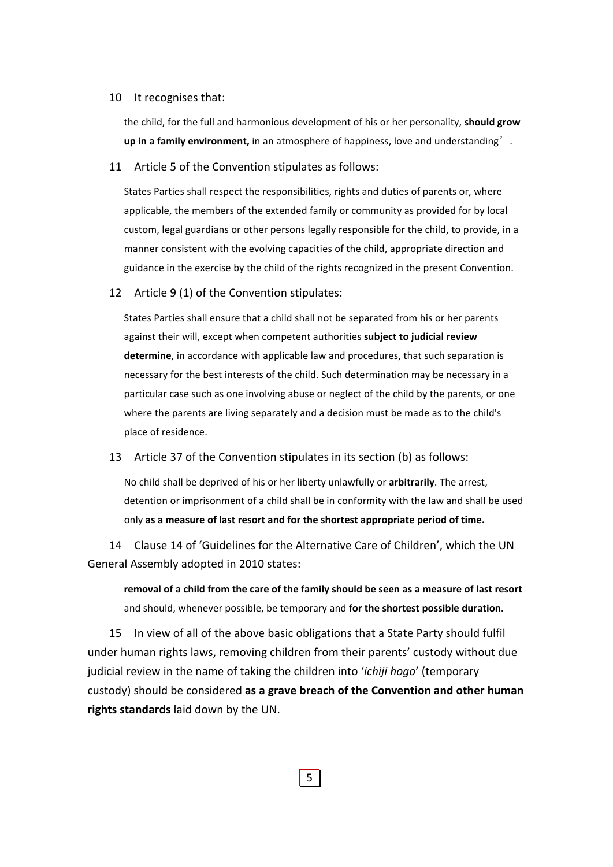#### 10 It recognises that:

the child, for the full and harmonious development of his or her personality, **should grow up in a family environment,** in an atmosphere of happiness, love and understanding'.

11 Article 5 of the Convention stipulates as follows:

States Parties shall respect the responsibilities, rights and duties of parents or, where applicable, the members of the extended family or community as provided for by local custom, legal guardians or other persons legally responsible for the child, to provide, in a manner consistent with the evolving capacities of the child, appropriate direction and guidance in the exercise by the child of the rights recognized in the present Convention.

#### 12 Article 9 (1) of the Convention stipulates:

States Parties shall ensure that a child shall not be separated from his or her parents against their will, except when competent authorities **subject to judicial review determine**, in accordance with applicable law and procedures, that such separation is necessary for the best interests of the child. Such determination may be necessary in a particular case such as one involving abuse or neglect of the child by the parents, or one where the parents are living separately and a decision must be made as to the child's place of residence.

13 Article 37 of the Convention stipulates in its section (b) as follows:

No child shall be deprived of his or her liberty unlawfully or **arbitrarily**. The arrest, detention or imprisonment of a child shall be in conformity with the law and shall be used only **as a measure of last resort and for the shortest appropriate period of time.**

14 Clause 14 of 'Guidelines for the Alternative Care of Children', which the UN General Assembly adopted in 2010 states:

**removal of a child from the care of the family should be seen as a measure of last resort** and should, whenever possible, be temporary and **for the shortest possible duration.**

15 In view of all of the above basic obligations that a State Party should fulfil under human rights laws, removing children from their parents' custody without due judicial review in the name of taking the children into '*ichiji hogo*' (temporary custody) should be considered **as a grave breach of the Convention and other human rights standards** laid down by the UN.

5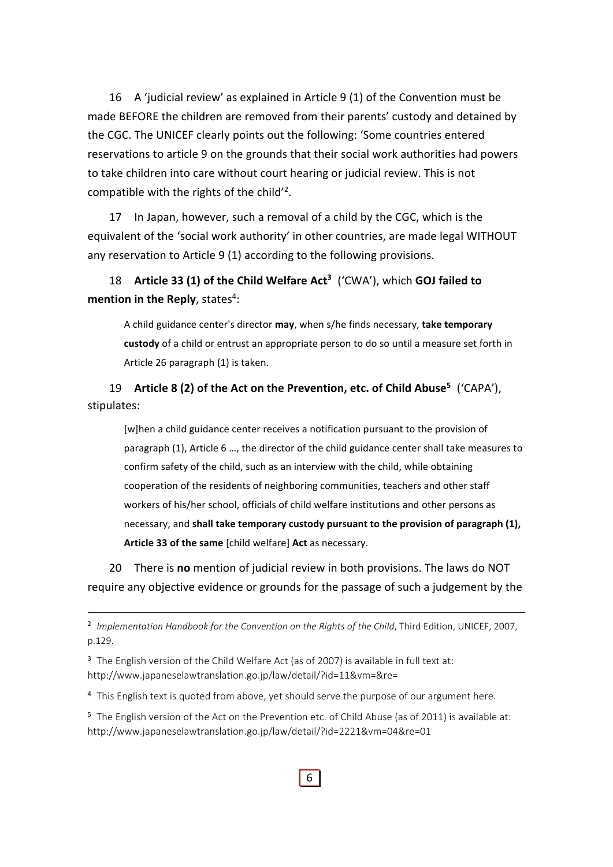16 A 'judicial review' as explained in Article 9 (1) of the Convention must be made BEFORE the children are removed from their parents' custody and detained by the CGC. The UNICEF clearly points out the following: 'Some countries entered reservations to article 9 on the grounds that their social work authorities had powers to take children into care without court hearing or judicial review. This is not compatible with the rights of the child'<sup>2</sup>.

17 In Japan, however, such a removal of a child by the CGC, which is the equivalent of the 'social work authority' in other countries, are made legal WITHOUT any reservation to Article 9 (1) according to the following provisions.

18 **Article 33 (1) of the Child Welfare Act3** ('CWA'), which **GOJ failed to mention in the Reply**, states<sup>4</sup>:

A child guidance center's director **may**, when s/he finds necessary, **take temporary custody** of a child or entrust an appropriate person to do so until a measure set forth in Article 26 paragraph (1) is taken.

19 **Article 8 (2) of the Act on the Prevention, etc. of Child Abuse5** ('CAPA'), stipulates:

[w]hen a child guidance center receives a notification pursuant to the provision of paragraph (1), Article 6 …, the director of the child guidance center shall take measures to confirm safety of the child, such as an interview with the child, while obtaining cooperation of the residents of neighboring communities, teachers and other staff workers of his/her school, officials of child welfare institutions and other persons as necessary, and **shall take temporary custody pursuant to the provision of paragraph (1), Article 33 of the same** [child welfare] **Act** as necessary.

20 There is **no** mention of judicial review in both provisions. The laws do NOT require any objective evidence or grounds for the passage of such a judgement by the

<sup>2</sup> Implementation Handbook for the Convention on the Rights of the Child, Third Edition, UNICEF, 2007, p.129.

<sup>3</sup> The English version of the Child Welfare Act (as of 2007) is available in full text at: http://www.japaneselawtranslation.go.jp/law/detail/?id=11&vm=&re=

<sup>4</sup> This English text is quoted from above, yet should serve the purpose of our argument here.

<sup>5</sup> The English version of the Act on the Prevention etc. of Child Abuse (as of 2011) is available at: http://www.japaneselawtranslation.go.jp/law/detail/?id=2221&vm=04&re=01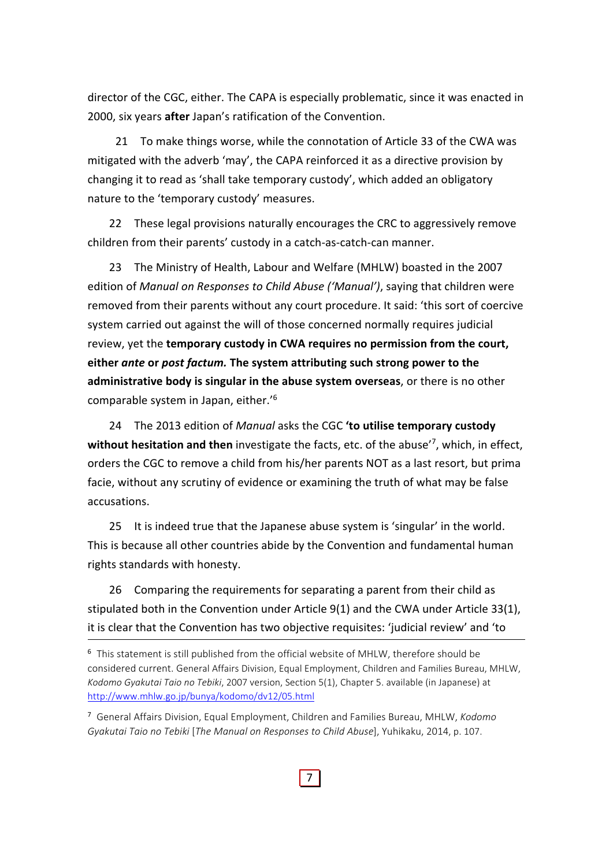director of the CGC, either. The CAPA is especially problematic, since it was enacted in 2000, six years **after** Japan's ratification of the Convention.

21 To make things worse, while the connotation of Article 33 of the CWA was mitigated with the adverb 'may', the CAPA reinforced it as a directive provision by changing it to read as 'shall take temporary custody', which added an obligatory nature to the 'temporary custody' measures.

22 These legal provisions naturally encourages the CRC to aggressively remove children from their parents' custody in a catch‐as‐catch‐can manner.

23 The Ministry of Health, Labour and Welfare (MHLW) boasted in the 2007 edition of *Manual on Responses to Child Abuse ('Manual')*, saying that children were removed from their parents without any court procedure. It said: 'this sort of coercive system carried out against the will of those concerned normally requires judicial review, yet the **temporary custody in CWA requires no permission from the court, either** *ante* **or** *post factum.* **The system attributing such strong power to the administrative body is singular in the abuse system overseas**, or there is no other comparable system in Japan, either.'6

24 The 2013 edition of *Manual* asks the CGC **'to utilise temporary custody without hesitation and then** investigate the facts, etc. of the abuse'7, which, in effect, orders the CGC to remove a child from his/her parents NOT as a last resort, but prima facie, without any scrutiny of evidence or examining the truth of what may be false accusations.

25 It is indeed true that the Japanese abuse system is 'singular' in the world. This is because all other countries abide by the Convention and fundamental human rights standards with honesty.

26 Comparing the requirements for separating a parent from their child as stipulated both in the Convention under Article 9(1) and the CWA under Article 33(1), it is clear that the Convention has two objective requisites: 'judicial review' and 'to

<sup>6</sup> This statement is still published from the official website of MHLW, therefore should be considered current. General Affairs Division, Equal Employment, Children and Families Bureau, MHLW, *Kodomo Gyakutai Taio no Tebiki*, 2007 version, Section 5(1), Chapter 5. available (in Japanese) at http://www.mhlw.go.jp/bunya/kodomo/dv12/05.html

<sup>7</sup> General Affairs Division, Equal Employment, Children and Families Bureau, MHLW, *Kodomo Gyakutai Taio no Tebiki* [*The Manual on Responses to Child Abuse*], Yuhikaku, 2014, p. 107.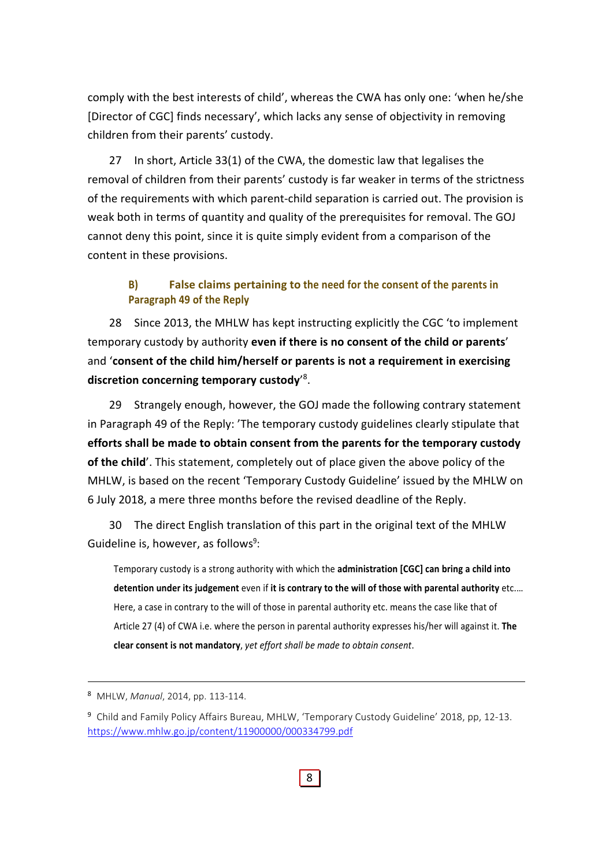comply with the best interests of child', whereas the CWA has only one: 'when he/she [Director of CGC] finds necessary', which lacks any sense of objectivity in removing children from their parents' custody.

27 In short, Article 33(1) of the CWA, the domestic law that legalises the removal of children from their parents' custody is far weaker in terms of the strictness of the requirements with which parent‐child separation is carried out. The provision is weak both in terms of quantity and quality of the prerequisites for removal. The GOJ cannot deny this point, since it is quite simply evident from a comparison of the content in these provisions.

## **B) False claims pertaining to the need for the consent of the parents in Paragraph 49 of the Reply**

28 Since 2013, the MHLW has kept instructing explicitly the CGC 'to implement temporary custody by authority **even if there is no consent of the child or parents**' and '**consent of the child him/herself or parents is not a requirement in exercising discretion concerning temporary custody**' 8.

29 Strangely enough, however, the GOJ made the following contrary statement in Paragraph 49 of the Reply: 'The temporary custody guidelines clearly stipulate that **efforts shall be made to obtain consent from the parents for the temporary custody of the child**'. This statement, completely out of place given the above policy of the MHLW, is based on the recent 'Temporary Custody Guideline' issued by the MHLW on 6 July 2018, a mere three months before the revised deadline of the Reply.

30 The direct English translation of this part in the original text of the MHLW Guideline is, however, as follows<sup>9</sup>:

Temporary custody is a strong authority with which the **administration [CGC] can bring a child into detention under its judgement** even if **it is contrary to the will of those with parental authority** etc.… Here, a case in contrary to the will of those in parental authority etc. means the case like that of Article 27 (4) of CWA i.e. where the person in parental authority expresses his/her will against it. **The clear consent is not mandatory**, *yet effort shall be made to obtain consent*.

<sup>8</sup> MHLW, *Manual*, 2014, pp. 113‐114.

<sup>9</sup> Child and Family Policy Affairs Bureau, MHLW, 'Temporary Custody Guideline' 2018, pp, 12‐13. https://www.mhlw.go.jp/content/11900000/000334799.pdf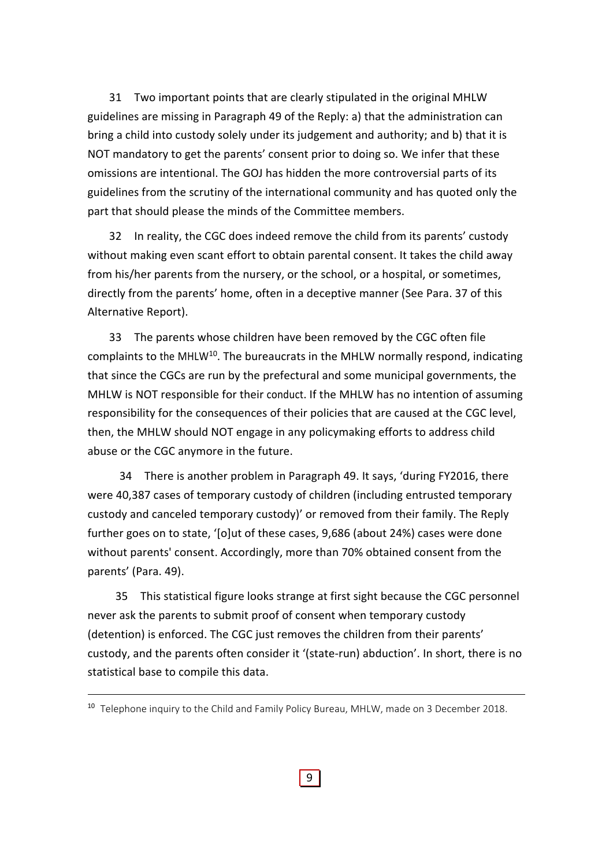31 Two important points that are clearly stipulated in the original MHLW guidelines are missing in Paragraph 49 of the Reply: a) that the administration can bring a child into custody solely under its judgement and authority; and b) that it is NOT mandatory to get the parents' consent prior to doing so. We infer that these omissions are intentional. The GOJ has hidden the more controversial parts of its guidelines from the scrutiny of the international community and has quoted only the part that should please the minds of the Committee members.

32 In reality, the CGC does indeed remove the child from its parents' custody without making even scant effort to obtain parental consent. It takes the child away from his/her parents from the nursery, or the school, or a hospital, or sometimes, directly from the parents' home, often in a deceptive manner (See Para. 37 of this Alternative Report).

33 The parents whose children have been removed by the CGC often file complaints to the MHLW<sup>10</sup>. The bureaucrats in the MHLW normally respond, indicating that since the CGCs are run by the prefectural and some municipal governments, the MHLW is NOT responsible for their conduct. If the MHLW has no intention of assuming responsibility for the consequences of their policies that are caused at the CGC level, then, the MHLW should NOT engage in any policymaking efforts to address child abuse or the CGC anymore in the future.

34 There is another problem in Paragraph 49. It says, 'during FY2016, there were 40,387 cases of temporary custody of children (including entrusted temporary custody and canceled temporary custody)' or removed from their family. The Reply further goes on to state, '[o]ut of these cases, 9,686 (about 24%) cases were done without parents' consent. Accordingly, more than 70% obtained consent from the parents' (Para. 49).

35 This statistical figure looks strange at first sight because the CGC personnel never ask the parents to submit proof of consent when temporary custody (detention) is enforced. The CGC just removes the children from their parents' custody, and the parents often consider it '(state‐run) abduction'. In short, there is no statistical base to compile this data.

<sup>&</sup>lt;sup>10</sup> Telephone inquiry to the Child and Family Policy Bureau, MHLW, made on 3 December 2018.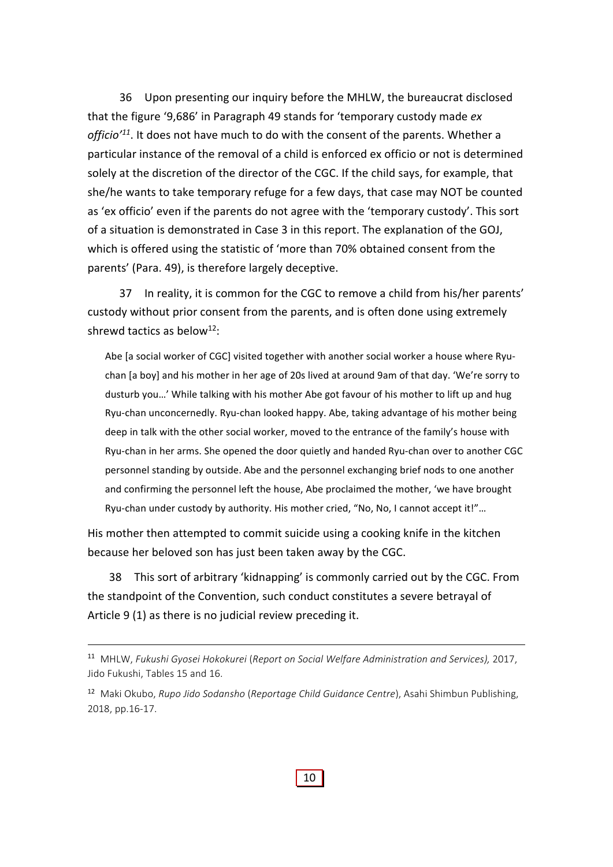36 Upon presenting our inquiry before the MHLW, the bureaucrat disclosed that the figure '9,686' in Paragraph 49 stands for 'temporary custody made *ex officio'11*. It does not have much to do with the consent of the parents. Whether a particular instance of the removal of a child is enforced ex officio or not is determined solely at the discretion of the director of the CGC. If the child says, for example, that she/he wants to take temporary refuge for a few days, that case may NOT be counted as 'ex officio' even if the parents do not agree with the 'temporary custody'. This sort of a situation is demonstrated in Case 3 in this report. The explanation of the GOJ, which is offered using the statistic of 'more than 70% obtained consent from the parents' (Para. 49), is therefore largely deceptive.

37 In reality, it is common for the CGC to remove a child from his/her parents' custody without prior consent from the parents, and is often done using extremely shrewd tactics as below<sup>12</sup>:

Abe [a social worker of CGC] visited together with another social worker a house where Ryu‐ chan [a boy] and his mother in her age of 20s lived at around 9am of that day. 'We're sorry to dusturb you…' While talking with his mother Abe got favour of his mother to lift up and hug Ryu‐chan unconcernedly. Ryu‐chan looked happy. Abe, taking advantage of his mother being deep in talk with the other social worker, moved to the entrance of the family's house with Ryu‐chan in her arms. She opened the door quietly and handed Ryu‐chan over to another CGC personnel standing by outside. Abe and the personnel exchanging brief nods to one another and confirming the personnel left the house, Abe proclaimed the mother, 'we have brought Ryu‐chan under custody by authority. His mother cried, "No, No, I cannot accept it!"…

His mother then attempted to commit suicide using a cooking knife in the kitchen because her beloved son has just been taken away by the CGC.

38 This sort of arbitrary 'kidnapping' is commonly carried out by the CGC. From the standpoint of the Convention, such conduct constitutes a severe betrayal of Article 9 (1) as there is no judicial review preceding it.

<sup>11</sup> MHLW, *Fukushi Gyosei Hokokurei* (*Report on Social Welfare Administration and Services),* 2017, Jido Fukushi, Tables 15 and 16.

<sup>12</sup> Maki Okubo, *Rupo Jido Sodansho* (*Reportage Child Guidance Centre*), Asahi Shimbun Publishing, 2018, pp.16‐17.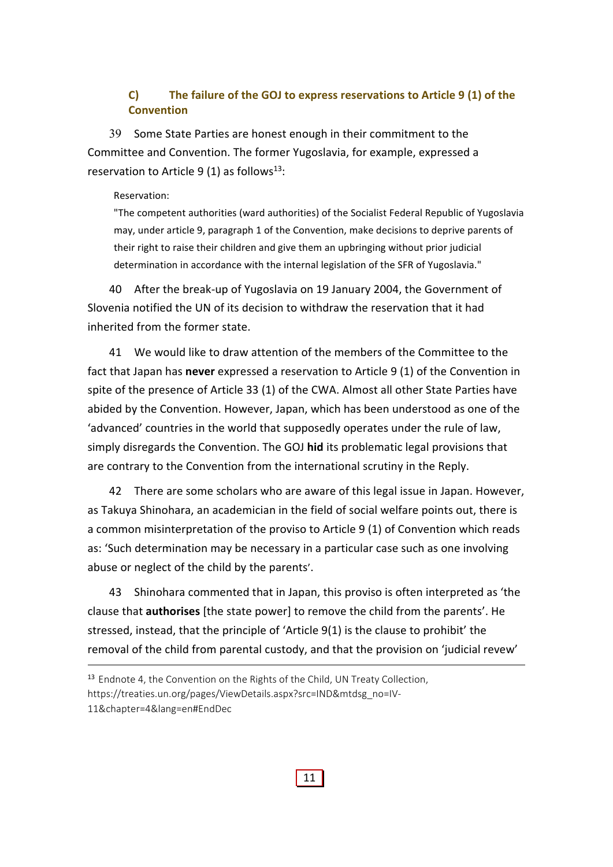## **C) The failure of the GOJ to express reservations to Article 9 (1) of the Convention**

39 Some State Parties are honest enough in their commitment to the Committee and Convention. The former Yugoslavia, for example, expressed a reservation to Article 9 (1) as follows<sup>13</sup>:

#### Reservation:

"The competent authorities (ward authorities) of the Socialist Federal Republic of Yugoslavia may, under article 9, paragraph 1 of the Convention, make decisions to deprive parents of their right to raise their children and give them an upbringing without prior judicial determination in accordance with the internal legislation of the SFR of Yugoslavia."

40 After the break‐up of Yugoslavia on 19 January 2004, the Government of Slovenia notified the UN of its decision to withdraw the reservation that it had inherited from the former state.

41 We would like to draw attention of the members of the Committee to the fact that Japan has **never** expressed a reservation to Article 9 (1) of the Convention in spite of the presence of Article 33 (1) of the CWA. Almost all other State Parties have abided by the Convention. However, Japan, which has been understood as one of the 'advanced' countries in the world that supposedly operates under the rule of law, simply disregards the Convention. The GOJ **hid** its problematic legal provisions that are contrary to the Convention from the international scrutiny in the Reply.

42 There are some scholars who are aware of this legal issue in Japan. However, as Takuya Shinohara, an academician in the field of social welfare points out, there is a common misinterpretation of the proviso to Article 9 (1) of Convention which reads as: 'Such determination may be necessary in a particular case such as one involving abuse or neglect of the child by the parents'.

43 Shinohara commented that in Japan, this proviso is often interpreted as 'the clause that **authorises** [the state power] to remove the child from the parents'. He stressed, instead, that the principle of 'Article 9(1) is the clause to prohibit' the removal of the child from parental custody, and that the provision on 'judicial revew'

<sup>&</sup>lt;sup>13</sup> Endnote 4, the Convention on the Rights of the Child, UN Treaty Collection, https://treaties.un.org/pages/ViewDetails.aspx?src=IND&mtdsg\_no=IV-11&chapter=4&lang=en#EndDec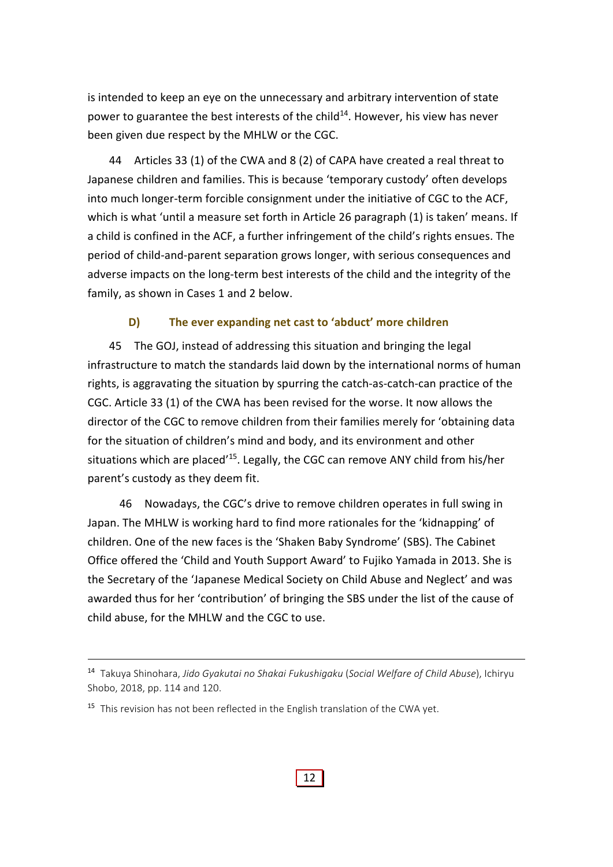is intended to keep an eye on the unnecessary and arbitrary intervention of state power to guarantee the best interests of the child<sup>14</sup>. However, his view has never been given due respect by the MHLW or the CGC.

44 Articles 33 (1) of the CWA and 8 (2) of CAPA have created a real threat to Japanese children and families. This is because 'temporary custody' often develops into much longer‐term forcible consignment under the initiative of CGC to the ACF, which is what 'until a measure set forth in Article 26 paragraph (1) is taken' means. If a child is confined in the ACF, a further infringement of the child's rights ensues. The period of child‐and‐parent separation grows longer, with serious consequences and adverse impacts on the long‐term best interests of the child and the integrity of the family, as shown in Cases 1 and 2 below.

## **D) The ever expanding net cast to 'abduct' more children**

45 The GOJ, instead of addressing this situation and bringing the legal infrastructure to match the standards laid down by the international norms of human rights, is aggravating the situation by spurring the catch‐as‐catch‐can practice of the CGC. Article 33 (1) of the CWA has been revised for the worse. It now allows the director of the CGC to remove children from their families merely for 'obtaining data for the situation of children's mind and body, and its environment and other situations which are placed<sup>'15</sup>. Legally, the CGC can remove ANY child from his/her parent's custody as they deem fit.

46 Nowadays, the CGC's drive to remove children operates in full swing in Japan. The MHLW is working hard to find more rationales for the 'kidnapping' of children. One of the new faces is the 'Shaken Baby Syndrome' (SBS). The Cabinet Office offered the 'Child and Youth Support Award' to Fujiko Yamada in 2013. She is the Secretary of the 'Japanese Medical Society on Child Abuse and Neglect' and was awarded thus for her 'contribution' of bringing the SBS under the list of the cause of child abuse, for the MHLW and the CGC to use.

<sup>14</sup> Takuya Shinohara, *Jido Gyakutai no Shakai Fukushigaku* (*Social Welfare of Child Abuse*), Ichiryu Shobo, 2018, pp. 114 and 120.

 $15$  This revision has not been reflected in the English translation of the CWA vet.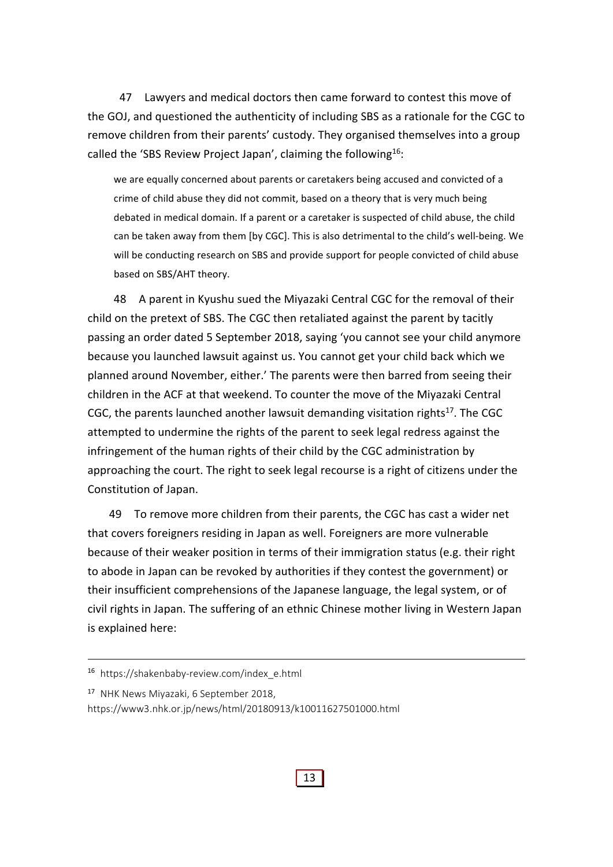47 Lawyers and medical doctors then came forward to contest this move of the GOJ, and questioned the authenticity of including SBS as a rationale for the CGC to remove children from their parents' custody. They organised themselves into a group called the 'SBS Review Project Japan', claiming the following<sup>16</sup>:

we are equally concerned about parents or caretakers being accused and convicted of a crime of child abuse they did not commit, based on a theory that is very much being debated in medical domain. If a parent or a caretaker is suspected of child abuse, the child can be taken away from them [by CGC]. This is also detrimental to the child's well‐being. We will be conducting research on SBS and provide support for people convicted of child abuse based on SBS/AHT theory.

48 A parent in Kyushu sued the Miyazaki Central CGC for the removal of their child on the pretext of SBS. The CGC then retaliated against the parent by tacitly passing an order dated 5 September 2018, saying 'you cannot see your child anymore because you launched lawsuit against us. You cannot get your child back which we planned around November, either.' The parents were then barred from seeing their children in the ACF at that weekend. To counter the move of the Miyazaki Central CGC, the parents launched another lawsuit demanding visitation rights<sup>17</sup>. The CGC attempted to undermine the rights of the parent to seek legal redress against the infringement of the human rights of their child by the CGC administration by approaching the court. The right to seek legal recourse is a right of citizens under the Constitution of Japan.

49 To remove more children from their parents, the CGC has cast a wider net that covers foreigners residing in Japan as well. Foreigners are more vulnerable because of their weaker position in terms of their immigration status (e.g. their right to abode in Japan can be revoked by authorities if they contest the government) or their insufficient comprehensions of the Japanese language, the legal system, or of civil rights in Japan. The suffering of an ethnic Chinese mother living in Western Japan is explained here:

<sup>16</sup> https://shakenbaby‐review.com/index\_e.html

<sup>17</sup> NHK News Miyazaki, 6 September 2018,

https://www3.nhk.or.jp/news/html/20180913/k10011627501000.html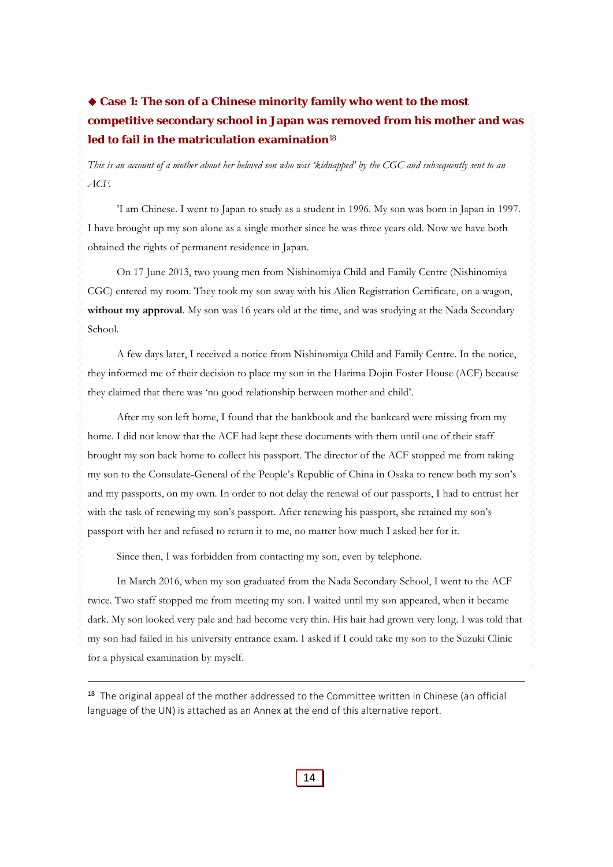# **Case 1: The son of a Chinese minority family who went to the most competitive secondary school in Japan was removed from his mother and was led to fail in the matriculation examination**<sup>18</sup>

*This is an account of a mother about her beloved son who was 'kidnapped' by the CGC and subsequently sent to an ACF.* 

'I am Chinese. I went to Japan to study as a student in 1996. My son was born in Japan in 1997. I have brought up my son alone as a single mother since he was three years old. Now we have both obtained the rights of permanent residence in Japan.

On 17 June 2013, two young men from Nishinomiya Child and Family Centre (Nishinomiya CGC) entered my room. They took my son away with his Alien Registration Certificate, on a wagon, **without my approval**. My son was 16 years old at the time, and was studying at the Nada Secondary School.

A few days later, I received a notice from Nishinomiya Child and Family Centre. In the notice, they informed me of their decision to place my son in the Harima Dojin Foster House (ACF) because they claimed that there was 'no good relationship between mother and child'.

After my son left home, I found that the bankbook and the bankcard were missing from my home. I did not know that the ACF had kept these documents with them until one of their staff brought my son back home to collect his passport. The director of the ACF stopped me from taking my son to the Consulate-General of the People's Republic of China in Osaka to renew both my son's and my passports, on my own. In order to not delay the renewal of our passports, I had to entrust her with the task of renewing my son's passport. After renewing his passport, she retained my son's passport with her and refused to return it to me, no matter how much I asked her for it.

Since then, I was forbidden from contacting my son, even by telephone.

In March 2016, when my son graduated from the Nada Secondary School, I went to the ACF twice. Two staff stopped me from meeting my son. I waited until my son appeared, when it became dark. My son looked very pale and had become very thin. His hair had grown very long. I was told that my son had failed in his university entrance exam. I asked if I could take my son to the Suzuki Clinic for a physical examination by myself.

<sup>18</sup> The original appeal of the mother addressed to the Committee written in Chinese (an official language of the UN) is attached as an Annex at the end of this alternative report.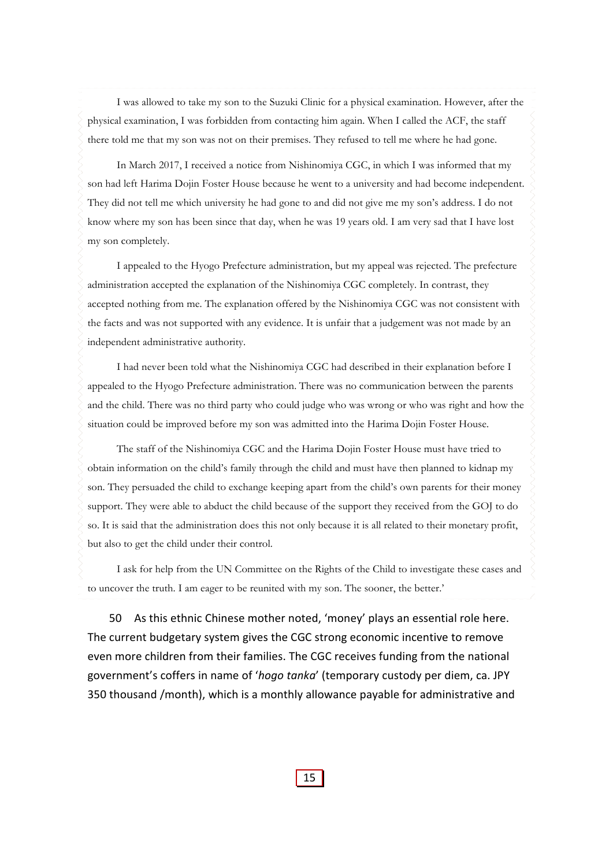I was allowed to take my son to the Suzuki Clinic for a physical examination. However, after the physical examination, I was forbidden from contacting him again. When I called the ACF, the staff there told me that my son was not on their premises. They refused to tell me where he had gone.

In March 2017, I received a notice from Nishinomiya CGC, in which I was informed that my son had left Harima Dojin Foster House because he went to a university and had become independent. They did not tell me which university he had gone to and did not give me my son's address. I do not know where my son has been since that day, when he was 19 years old. I am very sad that I have lost my son completely.

I appealed to the Hyogo Prefecture administration, but my appeal was rejected. The prefecture administration accepted the explanation of the Nishinomiya CGC completely. In contrast, they accepted nothing from me. The explanation offered by the Nishinomiya CGC was not consistent with the facts and was not supported with any evidence. It is unfair that a judgement was not made by an independent administrative authority.

I had never been told what the Nishinomiya CGC had described in their explanation before I appealed to the Hyogo Prefecture administration. There was no communication between the parents and the child. There was no third party who could judge who was wrong or who was right and how the situation could be improved before my son was admitted into the Harima Dojin Foster House.

The staff of the Nishinomiya CGC and the Harima Dojin Foster House must have tried to obtain information on the child's family through the child and must have then planned to kidnap my son. They persuaded the child to exchange keeping apart from the child's own parents for their money support. They were able to abduct the child because of the support they received from the GOJ to do so. It is said that the administration does this not only because it is all related to their monetary profit, but also to get the child under their control.

I ask for help from the UN Committee on the Rights of the Child to investigate these cases and to uncover the truth. I am eager to be reunited with my son. The sooner, the better.'

50 As this ethnic Chinese mother noted, 'money' plays an essential role here. The current budgetary system gives the CGC strong economic incentive to remove even more children from their families. The CGC receives funding from the national government's coffers in name of '*hogo tanka*' (temporary custody per diem, ca. JPY 350 thousand /month), which is a monthly allowance payable for administrative and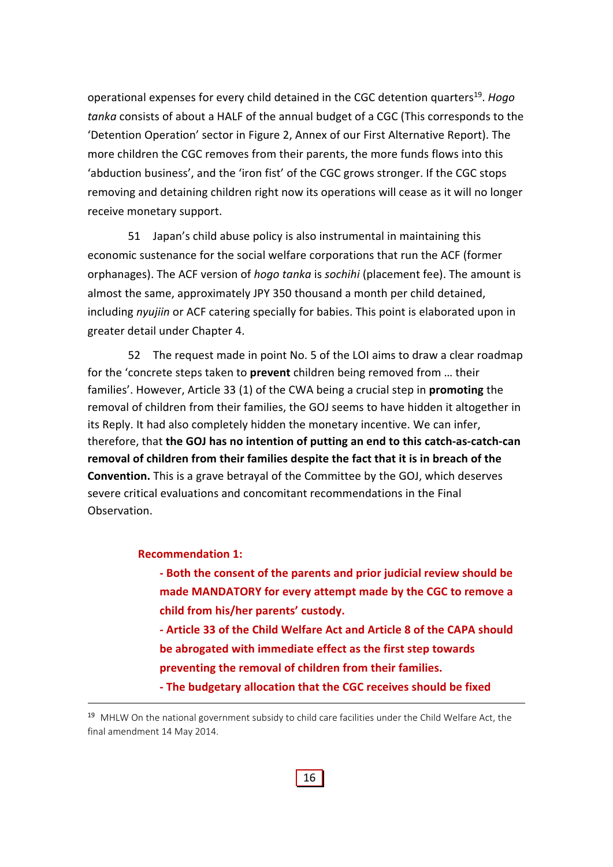operational expenses for every child detained in the CGC detention quarters19. *Hogo tanka* consists of about a HALF of the annual budget of a CGC (This corresponds to the 'Detention Operation' sector in Figure 2, Annex of our First Alternative Report). The more children the CGC removes from their parents, the more funds flows into this 'abduction business', and the 'iron fist' of the CGC grows stronger. If the CGC stops removing and detaining children right now its operations will cease as it will no longer receive monetary support.

51 Japan's child abuse policy is also instrumental in maintaining this economic sustenance for the social welfare corporations that run the ACF (former orphanages). The ACF version of *hogo tanka* is *sochihi* (placement fee). The amount is almost the same, approximately JPY 350 thousand a month per child detained, including *nyujiin* or ACF catering specially for babies. This point is elaborated upon in greater detail under Chapter 4.

52 The request made in point No. 5 of the LOI aims to draw a clear roadmap for the 'concrete steps taken to **prevent** children being removed from … their families'. However, Article 33 (1) of the CWA being a crucial step in **promoting** the removal of children from their families, the GOJ seems to have hidden it altogether in its Reply. It had also completely hidden the monetary incentive. We can infer, therefore, that **the GOJ has no intention of putting an end to this catch‐as‐catch‐can removal of children from their families despite the fact that it is in breach of the Convention.** This is a grave betrayal of the Committee by the GOJ, which deserves severe critical evaluations and concomitant recommendations in the Final Observation.

#### **Recommendation 1:**

- **‐ Both the consent of the parents and prior judicial review should be made MANDATORY for every attempt made by the CGC to remove a child from his/her parents' custody.**
- **‐ Article 33 of the Child Welfare Act and Article 8 of the CAPA should be abrogated with immediate effect as the first step towards preventing the removal of children from their families.**

**<sup>‐</sup> The budgetary allocation that the CGC receives should be fixed**

<sup>&</sup>lt;sup>19</sup> MHLW On the national government subsidy to child care facilities under the Child Welfare Act, the final amendment 14 May 2014.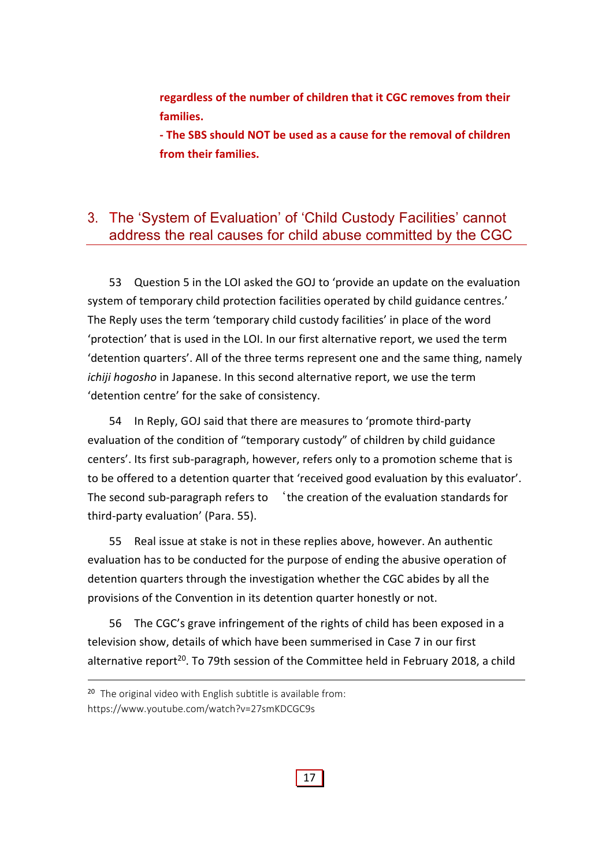**regardless of the number of children that it CGC removes from their families.** 

**‐ The SBS should NOT be used as a cause for the removal of children from their families.**

## 3. The 'System of Evaluation' of 'Child Custody Facilities' cannot address the real causes for child abuse committed by the CGC

53 Question 5 in the LOI asked the GOJ to 'provide an update on the evaluation system of temporary child protection facilities operated by child guidance centres.' The Reply uses the term 'temporary child custody facilities' in place of the word 'protection' that is used in the LOI. In our first alternative report, we used the term 'detention quarters'. All of the three terms represent one and the same thing, namely *ichiji hogosho* in Japanese. In this second alternative report, we use the term 'detention centre' for the sake of consistency.

54 In Reply, GOJ said that there are measures to 'promote third‐party evaluation of the condition of "temporary custody" of children by child guidance centers'. Its first sub‐paragraph, however, refers only to a promotion scheme that is to be offered to a detention quarter that 'received good evaluation by this evaluator'. The second sub-paragraph refers to 'the creation of the evaluation standards for third‐party evaluation' (Para. 55).

55 Real issue at stake is not in these replies above, however. An authentic evaluation has to be conducted for the purpose of ending the abusive operation of detention quarters through the investigation whether the CGC abides by all the provisions of the Convention in its detention quarter honestly or not.

56 The CGC's grave infringement of the rights of child has been exposed in a television show, details of which have been summerised in Case 7 in our first alternative report<sup>20</sup>. To 79th session of the Committee held in February 2018, a child

<sup>&</sup>lt;sup>20</sup> The original video with English subtitle is available from: https://www.youtube.com/watch?v=27smKDCGC9s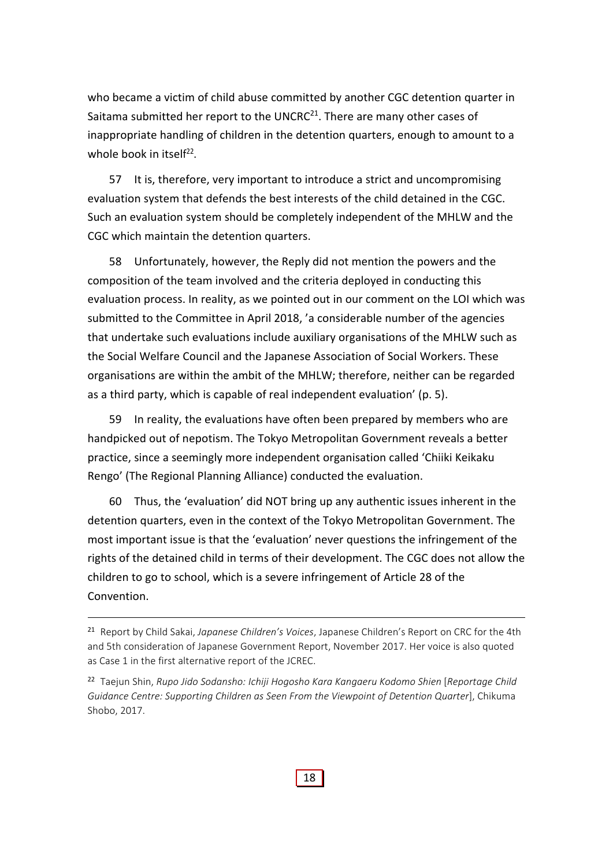who became a victim of child abuse committed by another CGC detention quarter in Saitama submitted her report to the UNCRC $^{21}$ . There are many other cases of inappropriate handling of children in the detention quarters, enough to amount to a whole book in itself<sup>22</sup>.

57 It is, therefore, very important to introduce a strict and uncompromising evaluation system that defends the best interests of the child detained in the CGC. Such an evaluation system should be completely independent of the MHLW and the CGC which maintain the detention quarters.

58 Unfortunately, however, the Reply did not mention the powers and the composition of the team involved and the criteria deployed in conducting this evaluation process. In reality, as we pointed out in our comment on the LOI which was submitted to the Committee in April 2018, 'a considerable number of the agencies that undertake such evaluations include auxiliary organisations of the MHLW such as the Social Welfare Council and the Japanese Association of Social Workers. These organisations are within the ambit of the MHLW; therefore, neither can be regarded as a third party, which is capable of real independent evaluation' (p. 5).

59 In reality, the evaluations have often been prepared by members who are handpicked out of nepotism. The Tokyo Metropolitan Government reveals a better practice, since a seemingly more independent organisation called 'Chiiki Keikaku Rengo' (The Regional Planning Alliance) conducted the evaluation.

60 Thus, the 'evaluation' did NOT bring up any authentic issues inherent in the detention quarters, even in the context of the Tokyo Metropolitan Government. The most important issue is that the 'evaluation' never questions the infringement of the rights of the detained child in terms of their development. The CGC does not allow the children to go to school, which is a severe infringement of Article 28 of the Convention.

<sup>21</sup> Report by Child Sakai, *Japanese Children's Voices*, Japanese Children's Report on CRC for the 4th and 5th consideration of Japanese Government Report, November 2017. Her voice is also quoted as Case 1 in the first alternative report of the JCREC.

<sup>22</sup> Taejun Shin, *Rupo Jido Sodansho: Ichiji Hogosho Kara Kangaeru Kodomo Shien* [*Reportage Child Guidance Centre: Supporting Children as Seen From the Viewpoint of Detention Quarter*], Chikuma Shobo, 2017.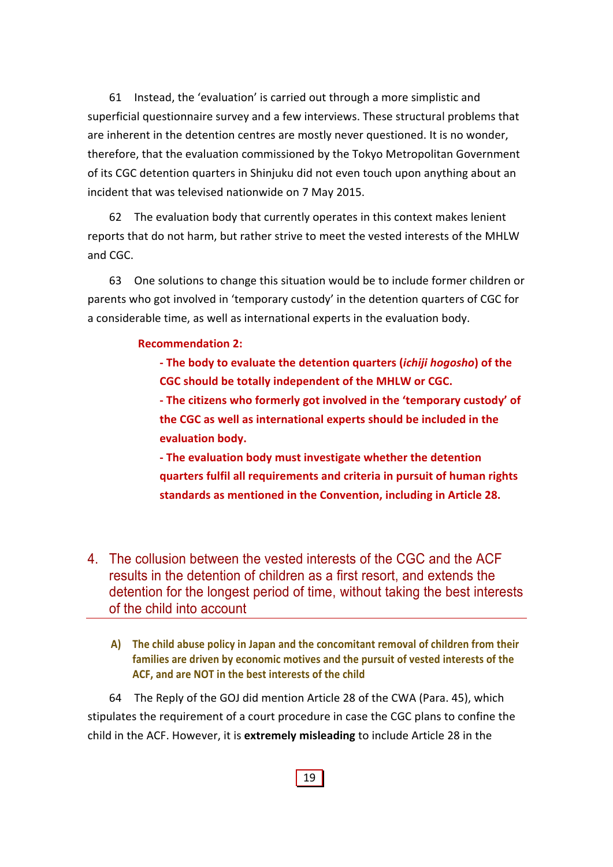61 Instead, the 'evaluation' is carried out through a more simplistic and superficial questionnaire survey and a few interviews. These structural problems that are inherent in the detention centres are mostly never questioned. It is no wonder, therefore, that the evaluation commissioned by the Tokyo Metropolitan Government of its CGC detention quarters in Shinjuku did not even touch upon anything about an incident that was televised nationwide on 7 May 2015.

62 The evaluation body that currently operates in this context makes lenient reports that do not harm, but rather strive to meet the vested interests of the MHLW and CGC.

63 One solutions to change this situation would be to include former children or parents who got involved in 'temporary custody' in the detention quarters of CGC for a considerable time, as well as international experts in the evaluation body.

#### **Recommendation 2:**

**‐ The body to evaluate the detention quarters (***ichiji hogosho***) of the CGC should be totally independent of the MHLW or CGC.**

**‐ The citizens who formerly got involved in the 'temporary custody' of the CGC as well as international experts should be included in the evaluation body.** 

**‐ The evaluation body must investigate whether the detention quarters fulfil all requirements and criteria in pursuit of human rights standards as mentioned in the Convention, including in Article 28.**

- 4. The collusion between the vested interests of the CGC and the ACF results in the detention of children as a first resort, and extends the detention for the longest period of time, without taking the best interests of the child into account
	- **A) The child abuse policy in Japan and the concomitant removal of children from their families are driven by economic motives and the pursuit of vested interests of the ACF, and are NOT in the best interests of the child**

64 The Reply of the GOJ did mention Article 28 of the CWA (Para. 45), which stipulates the requirement of a court procedure in case the CGC plans to confine the child in the ACF. However, it is **extremely misleading** to include Article 28 in the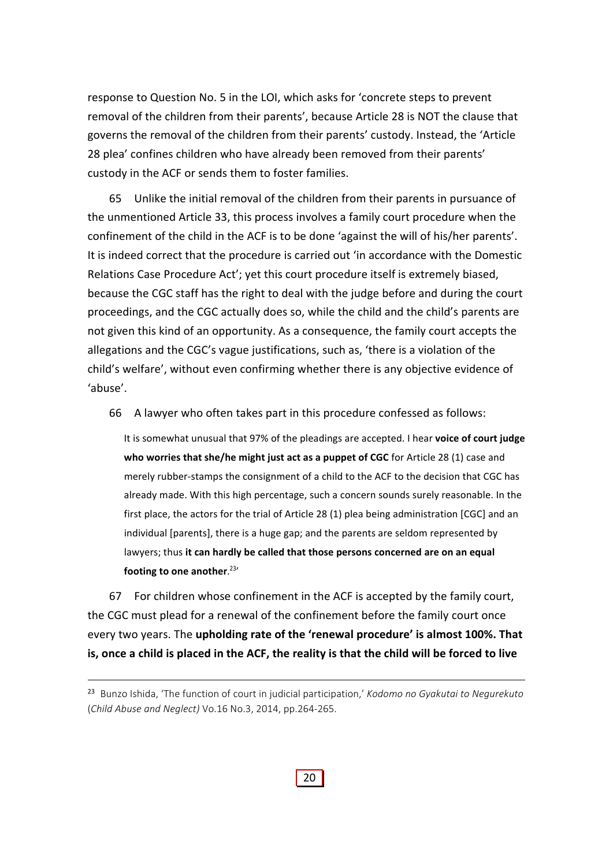response to Question No. 5 in the LOI, which asks for 'concrete steps to prevent removal of the children from their parents', because Article 28 is NOT the clause that governs the removal of the children from their parents' custody. Instead, the 'Article 28 plea' confines children who have already been removed from their parents' custody in the ACF or sends them to foster families.

65 Unlike the initial removal of the children from their parents in pursuance of the unmentioned Article 33, this process involves a family court procedure when the confinement of the child in the ACF is to be done 'against the will of his/her parents'. It is indeed correct that the procedure is carried out 'in accordance with the Domestic Relations Case Procedure Act'; yet this court procedure itself is extremely biased, because the CGC staff has the right to deal with the judge before and during the court proceedings, and the CGC actually does so, while the child and the child's parents are not given this kind of an opportunity. As a consequence, the family court accepts the allegations and the CGC's vague justifications, such as, 'there is a violation of the child's welfare', without even confirming whether there is any objective evidence of 'abuse'.

66 A lawyer who often takes part in this procedure confessed as follows:

It is somewhat unusual that 97% of the pleadings are accepted. I hear **voice of court judge who worries that she/he might just act as a puppet of CGC** for Article 28 (1) case and merely rubber-stamps the consignment of a child to the ACF to the decision that CGC has already made. With this high percentage, such a concern sounds surely reasonable. In the first place, the actors for the trial of Article 28 (1) plea being administration [CGC] and an individual [parents], there is a huge gap; and the parents are seldom represented by lawyers; thus **it can hardly be called that those persons concerned are on an equal footing to one another**. 23'

67 For children whose confinement in the ACF is accepted by the family court, the CGC must plead for a renewal of the confinement before the family court once every two years. The **upholding rate of the 'renewal procedure' is almost 100%. That** is, once a child is placed in the ACF, the reality is that the child will be forced to live

<sup>23</sup> Bunzo Ishida, 'The function of court in judicial participation,' *Kodomo no Gyakutai to Negurekuto* (*Child Abuse and Neglect)* Vo.16 No.3, 2014, pp.264‐265.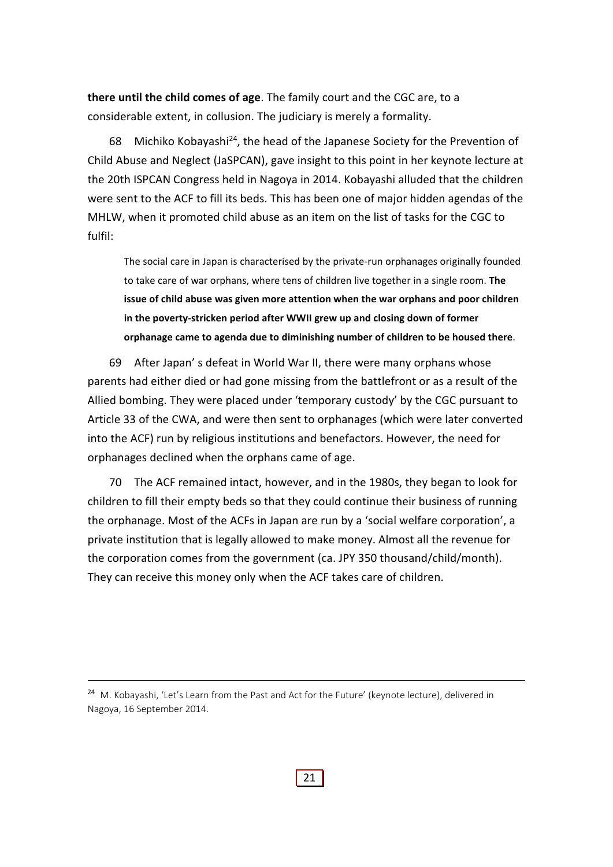**there until the child comes of age**. The family court and the CGC are, to a considerable extent, in collusion. The judiciary is merely a formality.

68 Michiko Kobayashi24, the head of the Japanese Society for the Prevention of Child Abuse and Neglect (JaSPCAN), gave insight to this point in her keynote lecture at the 20th ISPCAN Congress held in Nagoya in 2014. Kobayashi alluded that the children were sent to the ACF to fill its beds. This has been one of major hidden agendas of the MHLW, when it promoted child abuse as an item on the list of tasks for the CGC to fulfil:

The social care in Japan is characterised by the private‐run orphanages originally founded to take care of war orphans, where tens of children live together in a single room. **The issue of child abuse was given more attention when the war orphans and poor children in the poverty‐stricken period after WWII grew up and closing down of former orphanage came to agenda due to diminishing number of children to be housed there**.

69 After Japan' s defeat in World War II, there were many orphans whose parents had either died or had gone missing from the battlefront or as a result of the Allied bombing. They were placed under 'temporary custody' by the CGC pursuant to Article 33 of the CWA, and were then sent to orphanages (which were later converted into the ACF) run by religious institutions and benefactors. However, the need for orphanages declined when the orphans came of age.

70 The ACF remained intact, however, and in the 1980s, they began to look for children to fill their empty beds so that they could continue their business of running the orphanage. Most of the ACFs in Japan are run by a 'social welfare corporation', a private institution that is legally allowed to make money. Almost all the revenue for the corporation comes from the government (ca. JPY 350 thousand/child/month). They can receive this money only when the ACF takes care of children.

<sup>&</sup>lt;sup>24</sup> M. Kobayashi, 'Let's Learn from the Past and Act for the Future' (keynote lecture), delivered in Nagoya, 16 September 2014.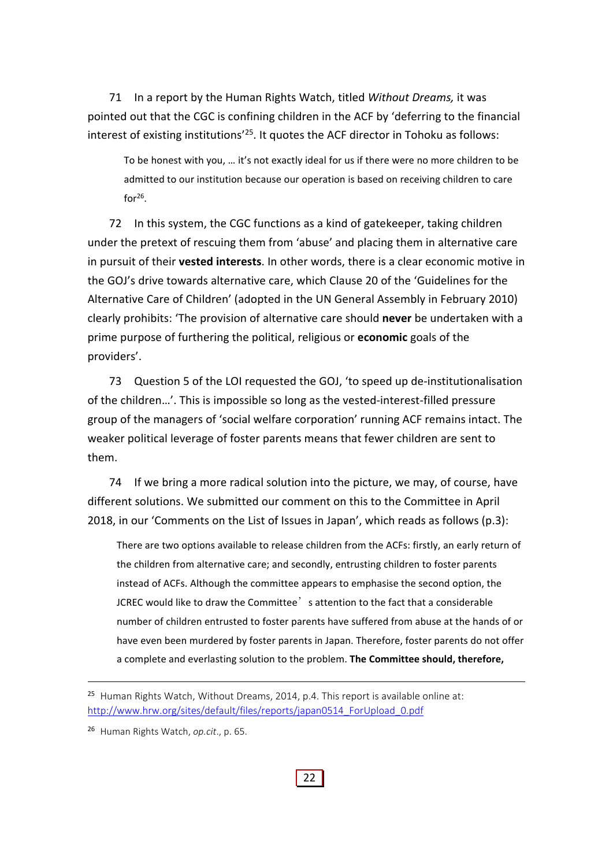71 In a report by the Human Rights Watch, titled *Without Dreams,* it was pointed out that the CGC is confining children in the ACF by 'deferring to the financial interest of existing institutions<sup>'25</sup>. It quotes the ACF director in Tohoku as follows:

To be honest with you, … it's not exactly ideal for us if there were no more children to be admitted to our institution because our operation is based on receiving children to care  $for<sup>26</sup>$ 

72 In this system, the CGC functions as a kind of gatekeeper, taking children under the pretext of rescuing them from 'abuse' and placing them in alternative care in pursuit of their **vested interests**. In other words, there is a clear economic motive in the GOJ's drive towards alternative care, which Clause 20 of the 'Guidelines for the Alternative Care of Children' (adopted in the UN General Assembly in February 2010) clearly prohibits: 'The provision of alternative care should **never** be undertaken with a prime purpose of furthering the political, religious or **economic** goals of the providers'.

73 Question 5 of the LOI requested the GOJ, 'to speed up de-institutionalisation of the children…'. This is impossible so long as the vested‐interest‐filled pressure group of the managers of 'social welfare corporation' running ACF remains intact. The weaker political leverage of foster parents means that fewer children are sent to them.

74 If we bring a more radical solution into the picture, we may, of course, have different solutions. We submitted our comment on this to the Committee in April 2018, in our 'Comments on the List of Issues in Japan', which reads as follows (p.3):

There are two options available to release children from the ACFs: firstly, an early return of the children from alternative care; and secondly, entrusting children to foster parents instead of ACFs. Although the committee appears to emphasise the second option, the JCREC would like to draw the Committee's attention to the fact that a considerable number of children entrusted to foster parents have suffered from abuse at the hands of or have even been murdered by foster parents in Japan. Therefore, foster parents do not offer a complete and everlasting solution to the problem. **The Committee should, therefore,**

 $25$  Human Rights Watch, Without Dreams, 2014, p.4. This report is available online at: http://www.hrw.org/sites/default/files/reports/japan0514\_ForUpload\_0.pdf

<sup>26</sup> Human Rights Watch, *op.cit*., p. 65.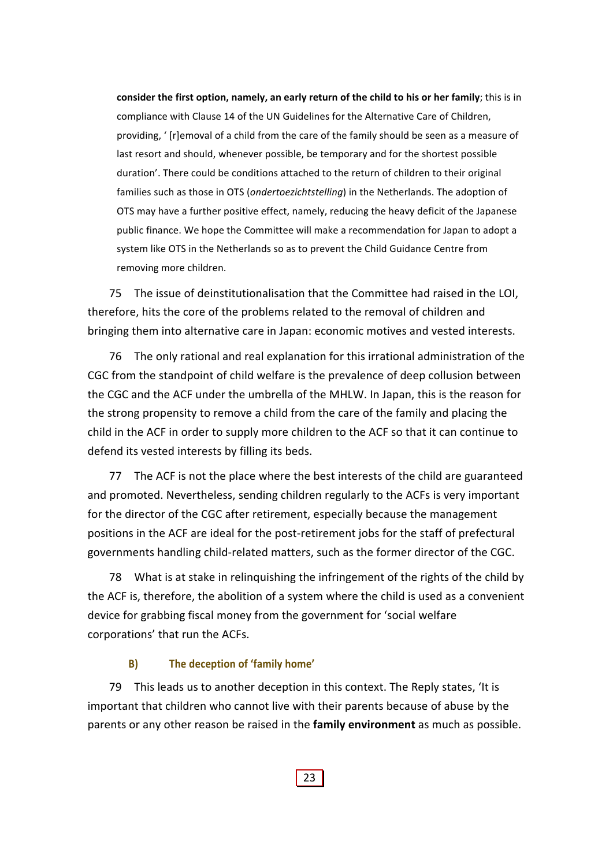**consider the first option, namely, an early return of the child to his or her family**; this is in compliance with Clause 14 of the UN Guidelines for the Alternative Care of Children, providing, ' [r]emoval of a child from the care of the family should be seen as a measure of last resort and should, whenever possible, be temporary and for the shortest possible duration'. There could be conditions attached to the return of children to their original families such as those in OTS (*ondertoezichtstelling*) in the Netherlands. The adoption of OTS may have a further positive effect, namely, reducing the heavy deficit of the Japanese public finance. We hope the Committee will make a recommendation for Japan to adopt a system like OTS in the Netherlands so as to prevent the Child Guidance Centre from removing more children.

75 The issue of deinstitutionalisation that the Committee had raised in the LOI, therefore, hits the core of the problems related to the removal of children and bringing them into alternative care in Japan: economic motives and vested interests.

76 The only rational and real explanation for this irrational administration of the CGC from the standpoint of child welfare is the prevalence of deep collusion between the CGC and the ACF under the umbrella of the MHLW. In Japan, this is the reason for the strong propensity to remove a child from the care of the family and placing the child in the ACF in order to supply more children to the ACF so that it can continue to defend its vested interests by filling its beds.

77 The ACF is not the place where the best interests of the child are guaranteed and promoted. Nevertheless, sending children regularly to the ACFs is very important for the director of the CGC after retirement, especially because the management positions in the ACF are ideal for the post‐retirement jobs for the staff of prefectural governments handling child‐related matters, such as the former director of the CGC.

78 What is at stake in relinquishing the infringement of the rights of the child by the ACF is, therefore, the abolition of a system where the child is used as a convenient device for grabbing fiscal money from the government for 'social welfare corporations' that run the ACFs.

#### **B) The deception of 'family home'**

79 This leads us to another deception in this context. The Reply states, 'It is important that children who cannot live with their parents because of abuse by the parents or any other reason be raised in the **family environment** as much as possible.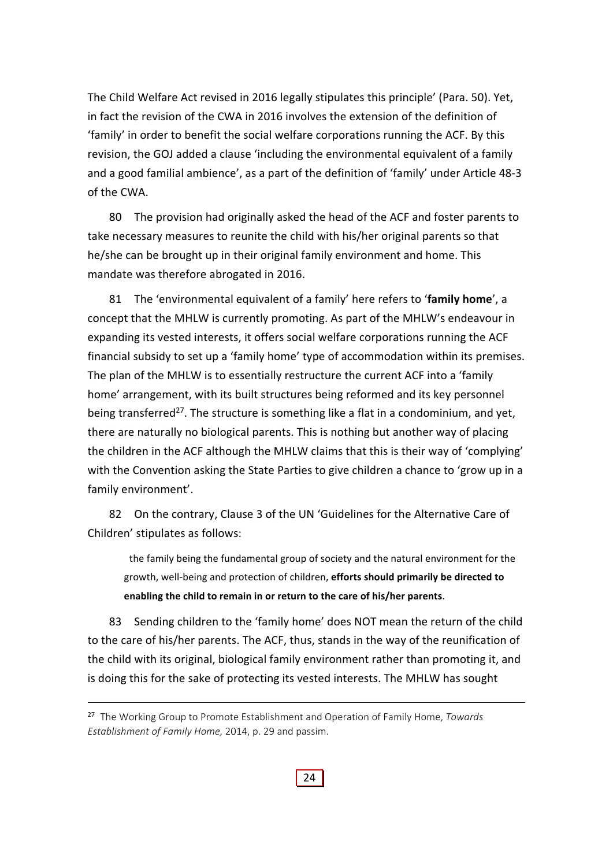The Child Welfare Act revised in 2016 legally stipulates this principle' (Para. 50). Yet, in fact the revision of the CWA in 2016 involves the extension of the definition of 'family' in order to benefit the social welfare corporations running the ACF. By this revision, the GOJ added a clause 'including the environmental equivalent of a family and a good familial ambience', as a part of the definition of 'family' under Article 48‐3 of the CWA.

80 The provision had originally asked the head of the ACF and foster parents to take necessary measures to reunite the child with his/her original parents so that he/she can be brought up in their original family environment and home. This mandate was therefore abrogated in 2016.

81 The 'environmental equivalent of a family' here refers to '**family home**', a concept that the MHLW is currently promoting. As part of the MHLW's endeavour in expanding its vested interests, it offers social welfare corporations running the ACF financial subsidy to set up a 'family home' type of accommodation within its premises. The plan of the MHLW is to essentially restructure the current ACF into a 'family home' arrangement, with its built structures being reformed and its key personnel being transferred<sup>27</sup>. The structure is something like a flat in a condominium, and yet, there are naturally no biological parents. This is nothing but another way of placing the children in the ACF although the MHLW claims that this is their way of 'complying' with the Convention asking the State Parties to give children a chance to 'grow up in a family environment'.

82 On the contrary, Clause 3 of the UN 'Guidelines for the Alternative Care of Children' stipulates as follows:

the family being the fundamental group of society and the natural environment for the growth, well‐being and protection of children, **efforts should primarily be directed to enabling the child to remain in or return to the care of his/her parents**.

83 Sending children to the 'family home' does NOT mean the return of the child to the care of his/her parents. The ACF, thus, stands in the way of the reunification of the child with its original, biological family environment rather than promoting it, and is doing this for the sake of protecting its vested interests. The MHLW has sought

<sup>27</sup> The Working Group to Promote Establishment and Operation of Family Home, *Towards Establishment of Family Home,* 2014, p. 29 and passim.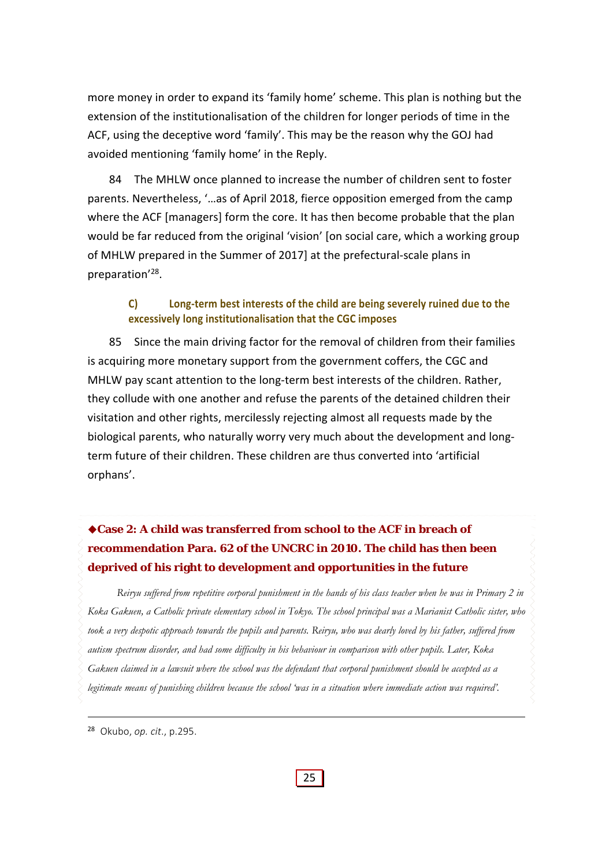more money in order to expand its 'family home' scheme. This plan is nothing but the extension of the institutionalisation of the children for longer periods of time in the ACF, using the deceptive word 'family'. This may be the reason why the GOJ had avoided mentioning 'family home' in the Reply.

84 The MHLW once planned to increase the number of children sent to foster parents. Nevertheless, '…as of April 2018, fierce opposition emerged from the camp where the ACF [managers] form the core. It has then become probable that the plan would be far reduced from the original 'vision' [on social care, which a working group of MHLW prepared in the Summer of 2017] at the prefectural‐scale plans in preparation'28.

## **C) Long‐term best interests of the child are being severely ruined due to the excessively long institutionalisation that the CGC imposes**

85 Since the main driving factor for the removal of children from their families is acquiring more monetary support from the government coffers, the CGC and MHLW pay scant attention to the long-term best interests of the children. Rather, they collude with one another and refuse the parents of the detained children their visitation and other rights, mercilessly rejecting almost all requests made by the biological parents, who naturally worry very much about the development and long‐ term future of their children. These children are thus converted into 'artificial orphans'.

# **Case 2: A child was transferred from school to the ACF in breach of recommendation Para. 62 of the UNCRC in 2010. The child has then been deprived of his right to development and opportunities in the future**

*Reiryu suffered from repetitive corporal punishment in the hands of his class teacher when he was in Primary 2 in Koka Gakuen, a Catholic private elementary school in Tokyo. The school principal was a Marianist Catholic sister, who took a very despotic approach towards the pupils and parents. Reiryu, who was dearly loved by his father, suffered from autism spectrum disorder, and had some difficulty in his behaviour in comparison with other pupils. Later, Koka Gakuen claimed in a lawsuit where the school was the defendant that corporal punishment should be accepted as a legitimate means of punishing children because the school 'was in a situation where immediate action was required'.* 

<sup>28</sup> Okubo, *op. cit*., p.295.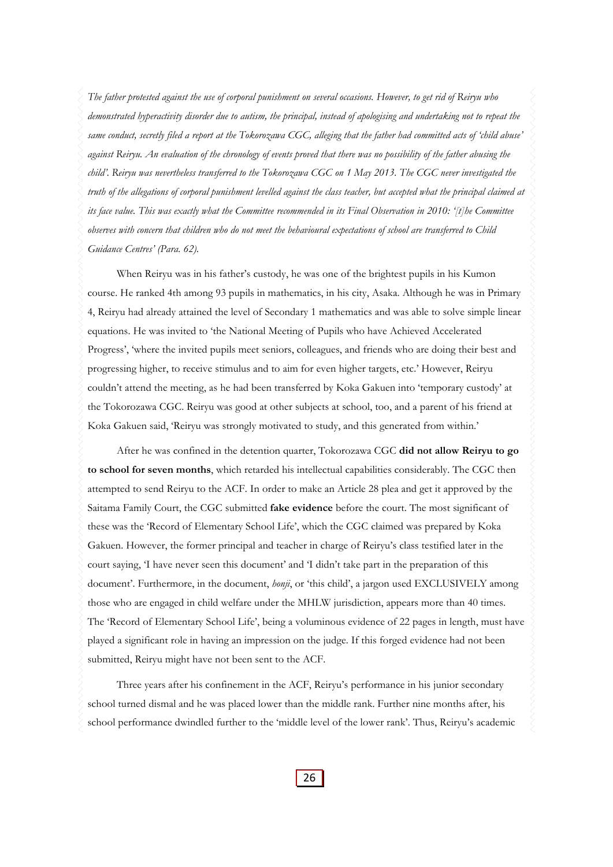*The father protested against the use of corporal punishment on several occasions. However, to get rid of Reiryu who demonstrated hyperactivity disorder due to autism, the principal, instead of apologising and undertaking not to repeat the same conduct, secretly filed a report at the Tokorozawa CGC, alleging that the father had committed acts of 'child abuse' against Reiryu. An evaluation of the chronology of events proved that there was no possibility of the father abusing the child'. Reiryu was nevertheless transferred to the Tokorozawa CGC on 1 May 2013. The CGC never investigated the truth of the allegations of corporal punishment levelled against the class teacher, but accepted what the principal claimed at its face value. This was exactly what the Committee recommended in its Final Observation in 2010: '[t]he Committee observes with concern that children who do not meet the behavioural expectations of school are transferred to Child Guidance Centres' (Para. 62).* 

When Reiryu was in his father's custody, he was one of the brightest pupils in his Kumon course. He ranked 4th among 93 pupils in mathematics, in his city, Asaka. Although he was in Primary 4, Reiryu had already attained the level of Secondary 1 mathematics and was able to solve simple linear equations. He was invited to 'the National Meeting of Pupils who have Achieved Accelerated Progress', 'where the invited pupils meet seniors, colleagues, and friends who are doing their best and progressing higher, to receive stimulus and to aim for even higher targets, etc.' However, Reiryu couldn't attend the meeting, as he had been transferred by Koka Gakuen into 'temporary custody' at the Tokorozawa CGC. Reiryu was good at other subjects at school, too, and a parent of his friend at Koka Gakuen said, 'Reiryu was strongly motivated to study, and this generated from within.'

After he was confined in the detention quarter, Tokorozawa CGC **did not allow Reiryu to go to school for seven months**, which retarded his intellectual capabilities considerably. The CGC then attempted to send Reiryu to the ACF. In order to make an Article 28 plea and get it approved by the Saitama Family Court, the CGC submitted **fake evidence** before the court. The most significant of these was the 'Record of Elementary School Life', which the CGC claimed was prepared by Koka Gakuen. However, the former principal and teacher in charge of Reiryu's class testified later in the court saying, 'I have never seen this document' and 'I didn't take part in the preparation of this document'. Furthermore, in the document, *honji*, or 'this child', a jargon used EXCLUSIVELY among those who are engaged in child welfare under the MHLW jurisdiction, appears more than 40 times. The 'Record of Elementary School Life', being a voluminous evidence of 22 pages in length, must have played a significant role in having an impression on the judge. If this forged evidence had not been submitted, Reiryu might have not been sent to the ACF.

Three years after his confinement in the ACF, Reiryu's performance in his junior secondary school turned dismal and he was placed lower than the middle rank. Further nine months after, his school performance dwindled further to the 'middle level of the lower rank'. Thus, Reiryu's academic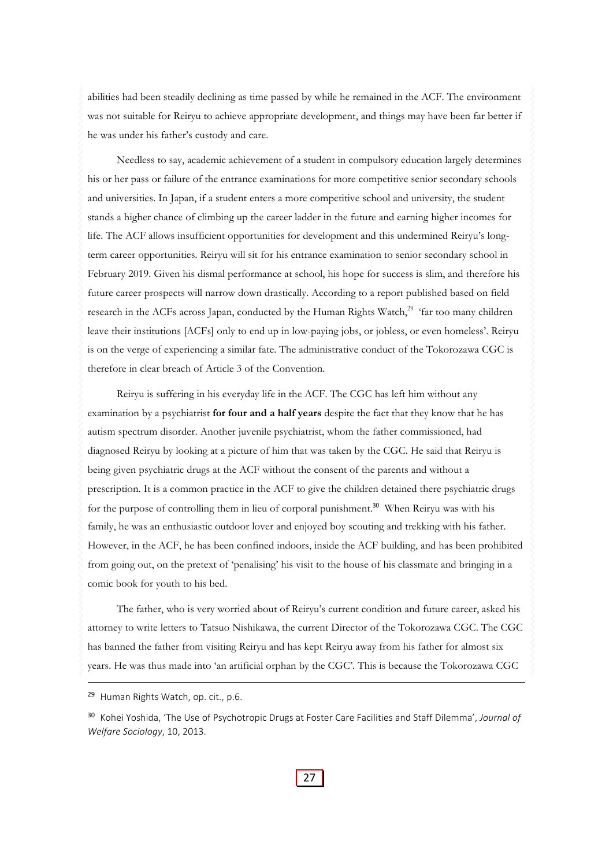abilities had been steadily declining as time passed by while he remained in the ACF. The environment was not suitable for Reiryu to achieve appropriate development, and things may have been far better if he was under his father's custody and care.

Needless to say, academic achievement of a student in compulsory education largely determines his or her pass or failure of the entrance examinations for more competitive senior secondary schools and universities. In Japan, if a student enters a more competitive school and university, the student stands a higher chance of climbing up the career ladder in the future and earning higher incomes for life. The ACF allows insufficient opportunities for development and this undermined Reiryu's longterm career opportunities. Reiryu will sit for his entrance examination to senior secondary school in February 2019. Given his dismal performance at school, his hope for success is slim, and therefore his future career prospects will narrow down drastically. According to a report published based on field research in the ACFs across Japan, conducted by the Human Rights Watch,<sup>29</sup> 'far too many children leave their institutions [ACFs] only to end up in low-paying jobs, or jobless, or even homeless'. Reiryu is on the verge of experiencing a similar fate. The administrative conduct of the Tokorozawa CGC is therefore in clear breach of Article 3 of the Convention.

Reiryu is suffering in his everyday life in the ACF. The CGC has left him without any examination by a psychiatrist **for four and a half years** despite the fact that they know that he has autism spectrum disorder. Another juvenile psychiatrist, whom the father commissioned, had diagnosed Reiryu by looking at a picture of him that was taken by the CGC. He said that Reiryu is being given psychiatric drugs at the ACF without the consent of the parents and without a prescription. It is a common practice in the ACF to give the children detained there psychiatric drugs for the purpose of controlling them in lieu of corporal punishment.<sup>30</sup> When Reiryu was with his family, he was an enthusiastic outdoor lover and enjoyed boy scouting and trekking with his father. However, in the ACF, he has been confined indoors, inside the ACF building, and has been prohibited from going out, on the pretext of 'penalising' his visit to the house of his classmate and bringing in a comic book for youth to his bed.

The father, who is very worried about of Reiryu's current condition and future career, asked his attorney to write letters to Tatsuo Nishikawa, the current Director of the Tokorozawa CGC. The CGC has banned the father from visiting Reiryu and has kept Reiryu away from his father for almost six years. He was thus made into 'an artificial orphan by the CGC'. This is because the Tokorozawa CGC

<sup>&</sup>lt;sup>29</sup> Human Rights Watch, op. cit., p.6.

<sup>30</sup> Kohei Yoshida, 'The Use of Psychotropic Drugs at Foster Care Facilities and Staff Dilemma', *Journal of Welfare Sociology*, 10, 2013.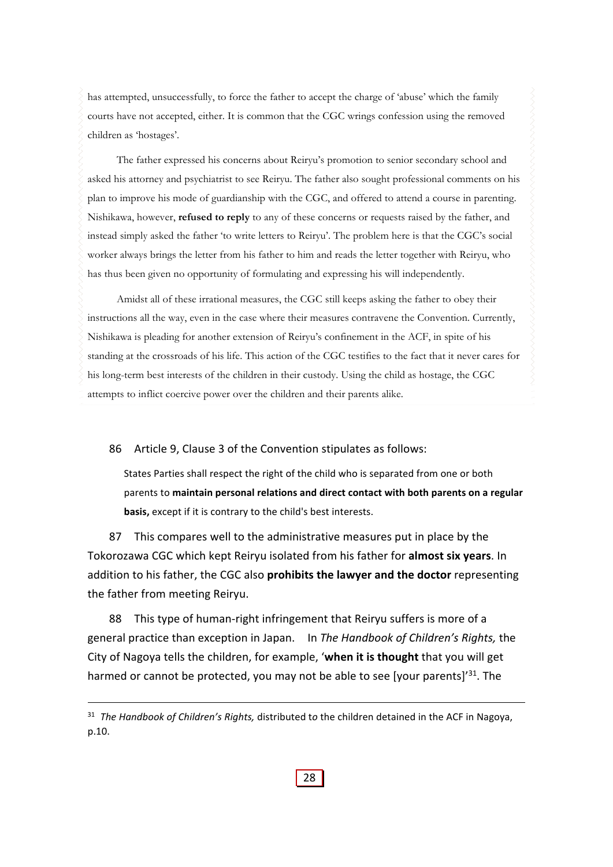has attempted, unsuccessfully, to force the father to accept the charge of 'abuse' which the family courts have not accepted, either. It is common that the CGC wrings confession using the removed children as 'hostages'.

The father expressed his concerns about Reiryu's promotion to senior secondary school and asked his attorney and psychiatrist to see Reiryu. The father also sought professional comments on his plan to improve his mode of guardianship with the CGC, and offered to attend a course in parenting. Nishikawa, however, **refused to reply** to any of these concerns or requests raised by the father, and instead simply asked the father 'to write letters to Reiryu'. The problem here is that the CGC's social worker always brings the letter from his father to him and reads the letter together with Reiryu, who has thus been given no opportunity of formulating and expressing his will independently.

Amidst all of these irrational measures, the CGC still keeps asking the father to obey their instructions all the way, even in the case where their measures contravene the Convention. Currently, Nishikawa is pleading for another extension of Reiryu's confinement in the ACF, in spite of his standing at the crossroads of his life. This action of the CGC testifies to the fact that it never cares for his long-term best interests of the children in their custody. Using the child as hostage, the CGC attempts to inflict coercive power over the children and their parents alike.

86 Article 9, Clause 3 of the Convention stipulates as follows:

States Parties shall respect the right of the child who is separated from one or both parents to **maintain personal relations and direct contact with both parents on a regular basis,** except if it is contrary to the child's best interests.

87 This compares well to the administrative measures put in place by the Tokorozawa CGC which kept Reiryu isolated from his father for **almost six years**. In addition to his father, the CGC also **prohibits the lawyer and the doctor** representing the father from meeting Reiryu.

88 This type of human-right infringement that Reiryu suffers is more of a general practice than exception in Japan. In *The Handbook of Children's Rights,* the City of Nagoya tells the children, for example, '**when it is thought** that you will get harmed or cannot be protected, you may not be able to see [your parents]<sup>'31</sup>. The

<sup>31</sup> *The Handbook of Children's Rights,* distributed t*o* the children detained in the ACF in Nagoya, p.10.

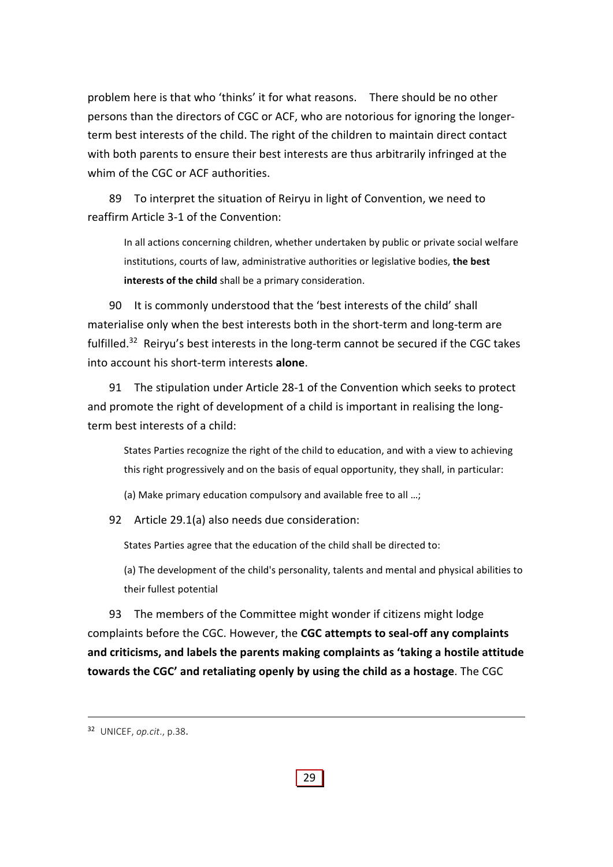problem here is that who 'thinks' it for what reasons. There should be no other persons than the directors of CGC or ACF, who are notorious for ignoring the longer‐ term best interests of the child. The right of the children to maintain direct contact with both parents to ensure their best interests are thus arbitrarily infringed at the whim of the CGC or ACF authorities.

89 To interpret the situation of Reiryu in light of Convention, we need to reaffirm Article 3‐1 of the Convention:

In all actions concerning children, whether undertaken by public or private social welfare institutions, courts of law, administrative authorities or legislative bodies, **the best interests of the child** shall be a primary consideration.

90 It is commonly understood that the 'best interests of the child' shall materialise only when the best interests both in the short‐term and long‐term are fulfilled.<sup>32</sup> Reiryu's best interests in the long-term cannot be secured if the CGC takes into account his short‐term interests **alone**.

91 The stipulation under Article 28-1 of the Convention which seeks to protect and promote the right of development of a child is important in realising the longterm best interests of a child:

States Parties recognize the right of the child to education, and with a view to achieving this right progressively and on the basis of equal opportunity, they shall, in particular:

(a) Make primary education compulsory and available free to all …;

92 Article 29.1(a) also needs due consideration:

States Parties agree that the education of the child shall be directed to:

(a) The development of the child's personality, talents and mental and physical abilities to their fullest potential

93 The members of the Committee might wonder if citizens might lodge complaints before the CGC. However, the **CGC attempts to seal‐off any complaints and criticisms, and labels the parents making complaints as 'taking a hostile attitude towards the CGC' and retaliating openly by using the child as a hostage**. The CGC

<sup>32</sup> UNICEF, *op.cit*., p.38.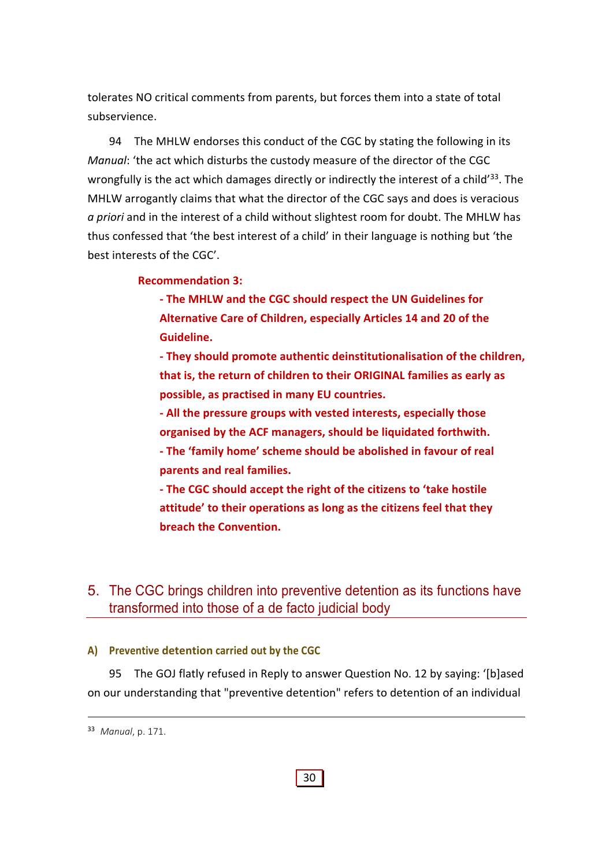tolerates NO critical comments from parents, but forces them into a state of total subservience.

94 The MHLW endorses this conduct of the CGC by stating the following in its *Manual*: 'the act which disturbs the custody measure of the director of the CGC wrongfully is the act which damages directly or indirectly the interest of a child<sup>'33</sup>. The MHLW arrogantly claims that what the director of the CGC says and does is veracious *a priori* and in the interest of a child without slightest room for doubt. The MHLW has thus confessed that 'the best interest of a child' in their language is nothing but 'the best interests of the CGC'.

#### **Recommendation 3:**

**‐ The MHLW and the CGC should respect the UN Guidelines for Alternative Care of Children, especially Articles 14 and 20 of the Guideline.** 

**‐ They should promote authentic deinstitutionalisation of the children, that is, the return of children to their ORIGINAL families as early as possible, as practised in many EU countries.** 

**‐ All the pressure groups with vested interests, especially those organised by the ACF managers, should be liquidated forthwith.** 

**‐ The 'family home' scheme should be abolished in favour of real parents and real families.**

**‐ The CGC should accept the right of the citizens to 'take hostile attitude' to their operations as long as the citizens feel that they breach the Convention.**

## 5. The CGC brings children into preventive detention as its functions have transformed into those of a de facto judicial body

#### **A) Preventive detention carried out by the CGC**

95 The GOJ flatly refused in Reply to answer Question No. 12 by saying: '[b]ased on our understanding that "preventive detention" refers to detention of an individual

<sup>33</sup> *Manual*, p. 171.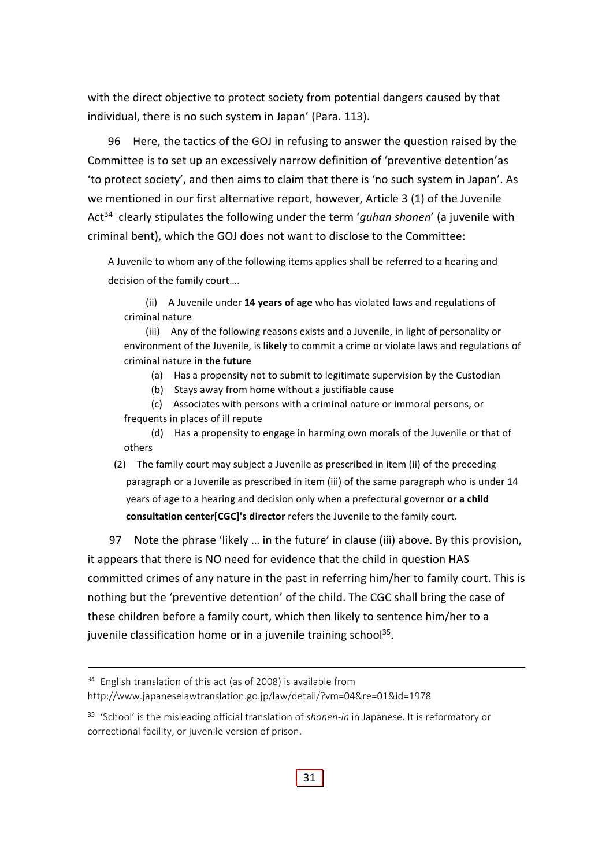with the direct objective to protect society from potential dangers caused by that individual, there is no such system in Japan' (Para. 113).

96 Here, the tactics of the GOJ in refusing to answer the question raised by the Committee is to set up an excessively narrow definition of 'preventive detention'as 'to protect society', and then aims to claim that there is 'no such system in Japan'. As we mentioned in our first alternative report, however, Article 3 (1) of the Juvenile Act34 clearly stipulates the following under the term '*guhan shonen*' (a juvenile with criminal bent), which the GOJ does not want to disclose to the Committee:

A Juvenile to whom any of the following items applies shall be referred to a hearing and decision of the family court….

(ii) A Juvenile under **14 years of age** who has violated laws and regulations of criminal nature

(iii) Any of the following reasons exists and a Juvenile, in light of personality or environment of the Juvenile, is **likely** to commit a crime or violate laws and regulations of criminal nature **in the future**

(a) Has a propensity not to submit to legitimate supervision by the Custodian

(b) Stays away from home without a justifiable cause

(c) Associates with persons with a criminal nature or immoral persons, or frequents in places of ill repute

(d) Has a propensity to engage in harming own morals of the Juvenile or that of others

(2) The family court may subject a Juvenile as prescribed in item (ii) of the preceding paragraph or a Juvenile as prescribed in item (iii) of the same paragraph who is under 14 years of age to a hearing and decision only when a prefectural governor **or a child consultation center[CGC]'s director** refers the Juvenile to the family court.

97 Note the phrase 'likely ... in the future' in clause (iii) above. By this provision, it appears that there is NO need for evidence that the child in question HAS committed crimes of any nature in the past in referring him/her to family court. This is nothing but the 'preventive detention' of the child. The CGC shall bring the case of these children before a family court, which then likely to sentence him/her to a juvenile classification home or in a juvenile training school<sup>35</sup>.

<sup>34</sup> English translation of this act (as of 2008) is available from http://www.japaneselawtranslation.go.jp/law/detail/?vm=04&re=01&id=1978

<sup>35</sup> 'School' is the misleading official translation of *shonen‐in* in Japanese. It is reformatory or correctional facility, or juvenile version of prison.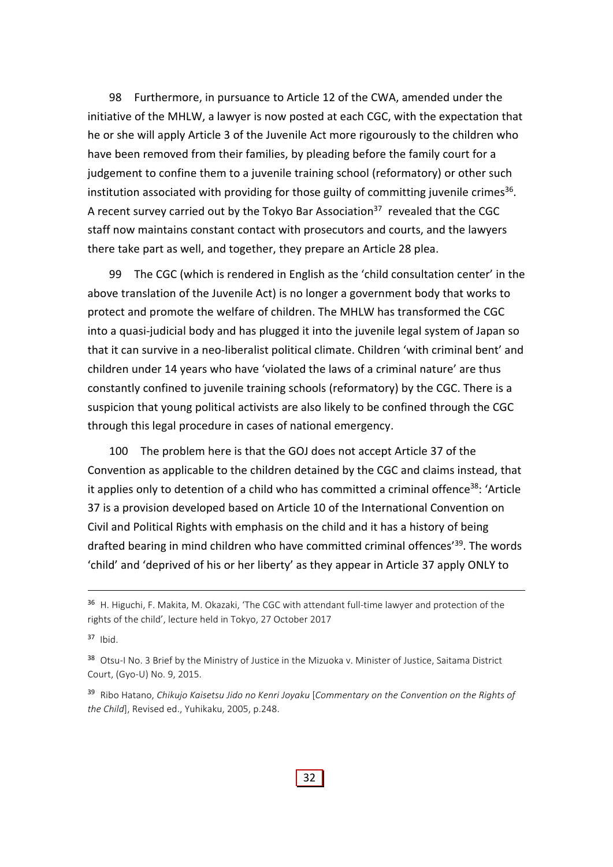98 Furthermore, in pursuance to Article 12 of the CWA, amended under the initiative of the MHLW, a lawyer is now posted at each CGC, with the expectation that he or she will apply Article 3 of the Juvenile Act more rigourously to the children who have been removed from their families, by pleading before the family court for a judgement to confine them to a juvenile training school (reformatory) or other such institution associated with providing for those guilty of committing juvenile crimes<sup>36</sup>. A recent survey carried out by the Tokyo Bar Association<sup>37</sup> revealed that the CGC staff now maintains constant contact with prosecutors and courts, and the lawyers there take part as well, and together, they prepare an Article 28 plea.

99 The CGC (which is rendered in English as the 'child consultation center' in the above translation of the Juvenile Act) is no longer a government body that works to protect and promote the welfare of children. The MHLW has transformed the CGC into a quasi‐judicial body and has plugged it into the juvenile legal system of Japan so that it can survive in a neo‐liberalist political climate. Children 'with criminal bent' and children under 14 years who have 'violated the laws of a criminal nature' are thus constantly confined to juvenile training schools (reformatory) by the CGC. There is a suspicion that young political activists are also likely to be confined through the CGC through this legal procedure in cases of national emergency.

100 The problem here is that the GOJ does not accept Article 37 of the Convention as applicable to the children detained by the CGC and claims instead, that it applies only to detention of a child who has committed a criminal offence<sup>38</sup>: 'Article 37 is a provision developed based on Article 10 of the International Convention on Civil and Political Rights with emphasis on the child and it has a history of being drafted bearing in mind children who have committed criminal offences<sup>'39</sup>. The words 'child' and 'deprived of his or her liberty' as they appear in Article 37 apply ONLY to

<sup>36</sup> H. Higuchi, F. Makita, M. Okazaki, 'The CGC with attendant full-time lawyer and protection of the rights of the child', lecture held in Tokyo, 27 October 2017

 $37$  Ibid.

<sup>38</sup> Otsu-I No. 3 Brief by the Ministry of Justice in the Mizuoka v. Minister of Justice, Saitama District Court, (Gyo‐U) No. 9, 2015.

<sup>39</sup> Ribo Hatano, *Chikujo Kaisetsu Jido no Kenri Joyaku* [*Commentary on the Convention on the Rights of the Child*], Revised ed., Yuhikaku, 2005, p.248.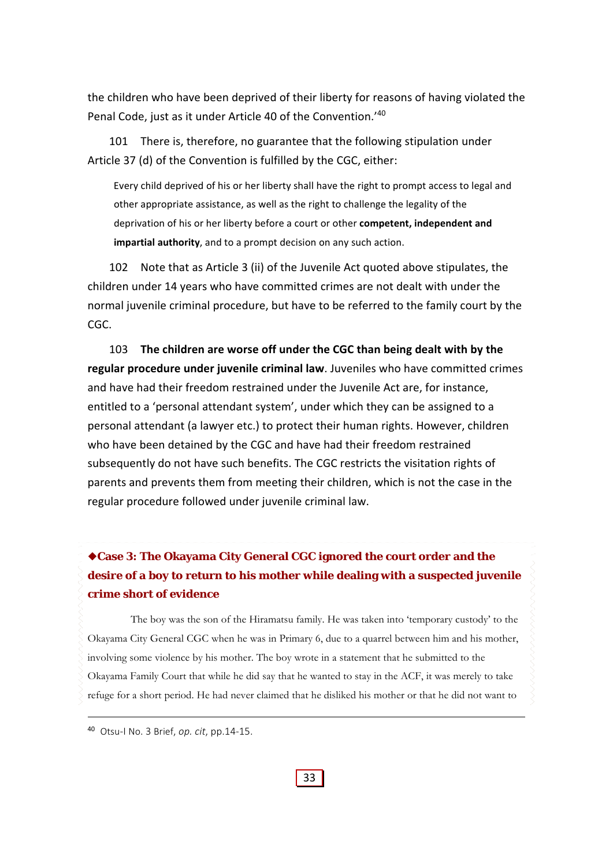the children who have been deprived of their liberty for reasons of having violated the Penal Code, just as it under Article 40 of the Convention.'40

101 There is, therefore, no guarantee that the following stipulation under Article 37 (d) of the Convention is fulfilled by the CGC, either:

Every child deprived of his or her liberty shall have the right to prompt access to legal and other appropriate assistance, as well as the right to challenge the legality of the deprivation of his or her liberty before a court or other **competent, independent and impartial authority**, and to a prompt decision on any such action.

102 Note that as Article 3 (ii) of the Juvenile Act quoted above stipulates, the children under 14 years who have committed crimes are not dealt with under the normal juvenile criminal procedure, but have to be referred to the family court by the CGC.

103 **The children are worse off under the CGC than being dealt with by the regular procedure under juvenile criminal law**. Juveniles who have committed crimes and have had their freedom restrained under the Juvenile Act are, for instance, entitled to a 'personal attendant system', under which they can be assigned to a personal attendant (a lawyer etc.) to protect their human rights. However, children who have been detained by the CGC and have had their freedom restrained subsequently do not have such benefits. The CGC restricts the visitation rights of parents and prevents them from meeting their children, which is not the case in the regular procedure followed under juvenile criminal law.

# **Case 3: The Okayama City General CGC ignored the court order and the desire of a boy to return to his mother while dealing with a suspected juvenile crime short of evidence**

The boy was the son of the Hiramatsu family. He was taken into 'temporary custody' to the Okayama City General CGC when he was in Primary 6, due to a quarrel between him and his mother, involving some violence by his mother. The boy wrote in a statement that he submitted to the Okayama Family Court that while he did say that he wanted to stay in the ACF, it was merely to take refuge for a short period. He had never claimed that he disliked his mother or that he did not want to

<sup>40</sup> Otsu‐I No. 3 Brief, *op. cit*, pp.14‐15.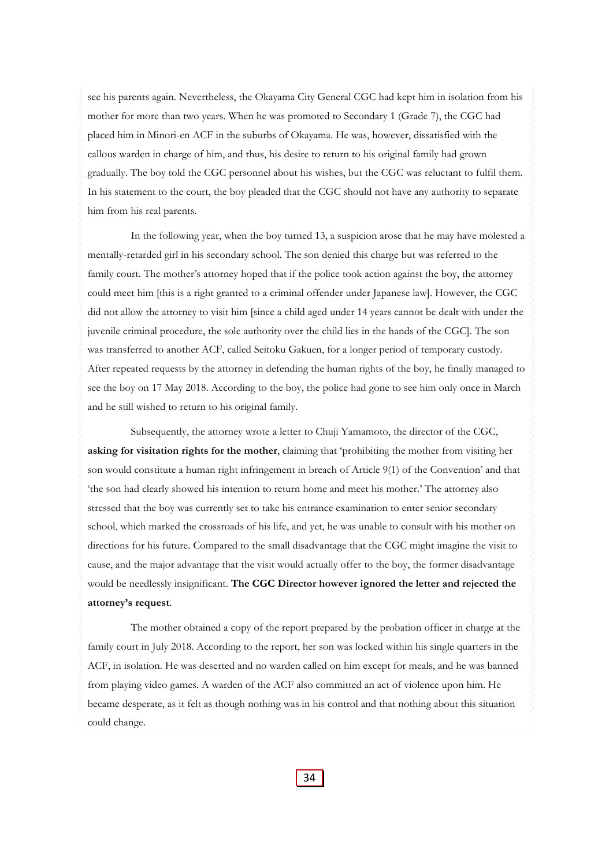see his parents again. Nevertheless, the Okayama City General CGC had kept him in isolation from his mother for more than two years. When he was promoted to Secondary 1 (Grade 7), the CGC had placed him in Minori-en ACF in the suburbs of Okayama. He was, however, dissatisfied with the callous warden in charge of him, and thus, his desire to return to his original family had grown gradually. The boy told the CGC personnel about his wishes, but the CGC was reluctant to fulfil them. In his statement to the court, the boy pleaded that the CGC should not have any authority to separate him from his real parents.

In the following year, when the boy turned 13, a suspicion arose that he may have molested a mentally-retarded girl in his secondary school. The son denied this charge but was referred to the family court. The mother's attorney hoped that if the police took action against the boy, the attorney could meet him [this is a right granted to a criminal offender under Japanese law]. However, the CGC did not allow the attorney to visit him [since a child aged under 14 years cannot be dealt with under the juvenile criminal procedure, the sole authority over the child lies in the hands of the CGC]. The son was transferred to another ACF, called Seitoku Gakuen, for a longer period of temporary custody. After repeated requests by the attorney in defending the human rights of the boy, he finally managed to see the boy on 17 May 2018. According to the boy, the police had gone to see him only once in March and he still wished to return to his original family.

Subsequently, the attorney wrote a letter to Chuji Yamamoto, the director of the CGC, **asking for visitation rights for the mother**, claiming that 'prohibiting the mother from visiting her son would constitute a human right infringement in breach of Article 9(1) of the Convention' and that 'the son had clearly showed his intention to return home and meet his mother.' The attorney also stressed that the boy was currently set to take his entrance examination to enter senior secondary school, which marked the crossroads of his life, and yet, he was unable to consult with his mother on directions for his future. Compared to the small disadvantage that the CGC might imagine the visit to cause, and the major advantage that the visit would actually offer to the boy, the former disadvantage would be needlessly insignificant. **The CGC Director however ignored the letter and rejected the attorney's request**.

The mother obtained a copy of the report prepared by the probation officer in charge at the family court in July 2018. According to the report, her son was locked within his single quarters in the ACF, in isolation. He was deserted and no warden called on him except for meals, and he was banned from playing video games. A warden of the ACF also committed an act of violence upon him. He became desperate, as it felt as though nothing was in his control and that nothing about this situation could change.

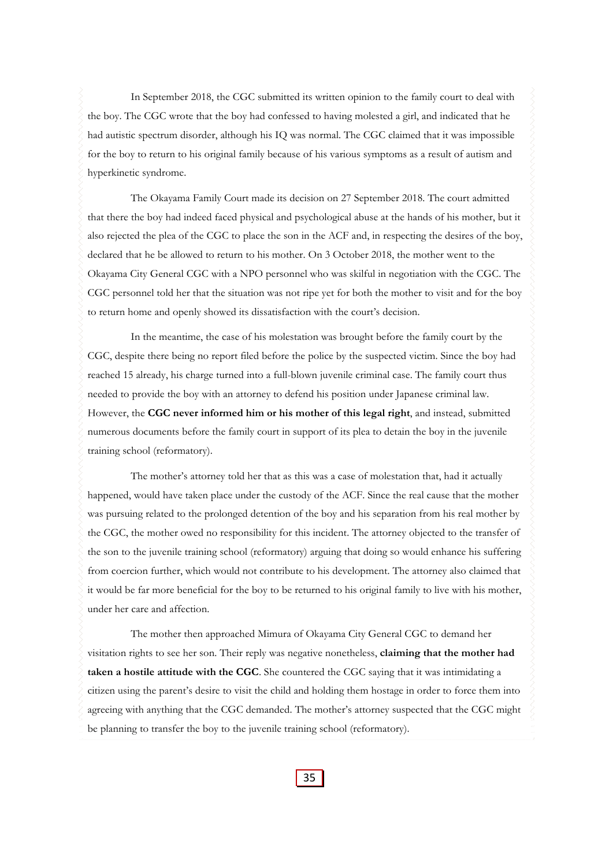In September 2018, the CGC submitted its written opinion to the family court to deal with the boy. The CGC wrote that the boy had confessed to having molested a girl, and indicated that he had autistic spectrum disorder, although his IQ was normal. The CGC claimed that it was impossible for the boy to return to his original family because of his various symptoms as a result of autism and hyperkinetic syndrome.

The Okayama Family Court made its decision on 27 September 2018. The court admitted that there the boy had indeed faced physical and psychological abuse at the hands of his mother, but it also rejected the plea of the CGC to place the son in the ACF and, in respecting the desires of the boy, declared that he be allowed to return to his mother. On 3 October 2018, the mother went to the Okayama City General CGC with a NPO personnel who was skilful in negotiation with the CGC. The CGC personnel told her that the situation was not ripe yet for both the mother to visit and for the boy to return home and openly showed its dissatisfaction with the court's decision.

In the meantime, the case of his molestation was brought before the family court by the CGC, despite there being no report filed before the police by the suspected victim. Since the boy had reached 15 already, his charge turned into a full-blown juvenile criminal case. The family court thus needed to provide the boy with an attorney to defend his position under Japanese criminal law. However, the **CGC never informed him or his mother of this legal right**, and instead, submitted numerous documents before the family court in support of its plea to detain the boy in the juvenile training school (reformatory).

The mother's attorney told her that as this was a case of molestation that, had it actually happened, would have taken place under the custody of the ACF. Since the real cause that the mother was pursuing related to the prolonged detention of the boy and his separation from his real mother by the CGC, the mother owed no responsibility for this incident. The attorney objected to the transfer of the son to the juvenile training school (reformatory) arguing that doing so would enhance his suffering from coercion further, which would not contribute to his development. The attorney also claimed that it would be far more beneficial for the boy to be returned to his original family to live with his mother, under her care and affection.

The mother then approached Mimura of Okayama City General CGC to demand her visitation rights to see her son. Their reply was negative nonetheless, **claiming that the mother had taken a hostile attitude with the CGC**. She countered the CGC saying that it was intimidating a citizen using the parent's desire to visit the child and holding them hostage in order to force them into agreeing with anything that the CGC demanded. The mother's attorney suspected that the CGC might be planning to transfer the boy to the juvenile training school (reformatory).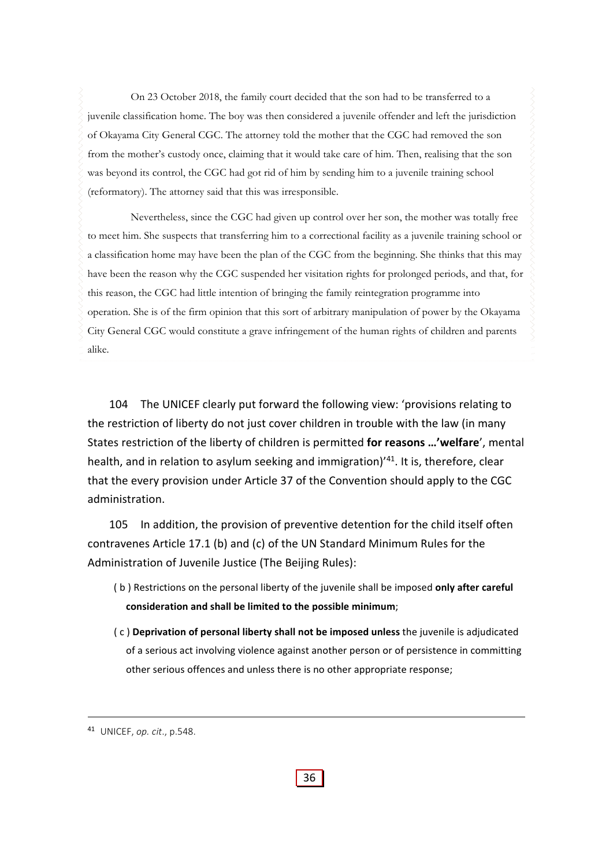On 23 October 2018, the family court decided that the son had to be transferred to a juvenile classification home. The boy was then considered a juvenile offender and left the jurisdiction of Okayama City General CGC. The attorney told the mother that the CGC had removed the son from the mother's custody once, claiming that it would take care of him. Then, realising that the son was beyond its control, the CGC had got rid of him by sending him to a juvenile training school (reformatory). The attorney said that this was irresponsible.

Nevertheless, since the CGC had given up control over her son, the mother was totally free to meet him. She suspects that transferring him to a correctional facility as a juvenile training school or a classification home may have been the plan of the CGC from the beginning. She thinks that this may have been the reason why the CGC suspended her visitation rights for prolonged periods, and that, for this reason, the CGC had little intention of bringing the family reintegration programme into operation. She is of the firm opinion that this sort of arbitrary manipulation of power by the Okayama City General CGC would constitute a grave infringement of the human rights of children and parents alike.

104 The UNICEF clearly put forward the following view: 'provisions relating to the restriction of liberty do not just cover children in trouble with the law (in many States restriction of the liberty of children is permitted **for reasons …'welfare**', mental health, and in relation to asylum seeking and immigration)<sup>'41</sup>. It is, therefore, clear that the every provision under Article 37 of the Convention should apply to the CGC administration.

105 In addition, the provision of preventive detention for the child itself often contravenes Article 17.1 (b) and (c) of the UN Standard Minimum Rules for the Administration of Juvenile Justice (The Beijing Rules):

- ( b ) Restrictions on the personal liberty of the juvenile shall be imposed **only after careful consideration and shall be limited to the possible minimum**;
- ( c ) **Deprivation of personal liberty shall not be imposed unless** the juvenile is adjudicated of a serious act involving violence against another person or of persistence in committing other serious offences and unless there is no other appropriate response;

<sup>41</sup> UNICEF, *op. cit*., p.548.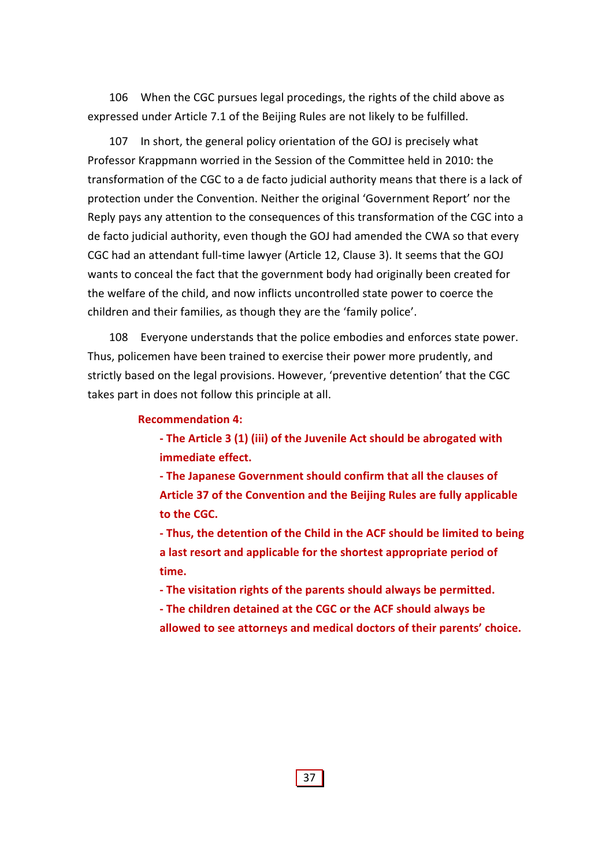106 When the CGC pursues legal procedings, the rights of the child above as expressed under Article 7.1 of the Beijing Rules are not likely to be fulfilled.

107 In short, the general policy orientation of the GOJ is precisely what Professor Krappmann worried in the Session of the Committee held in 2010: the transformation of the CGC to a de facto judicial authority means that there is a lack of protection under the Convention. Neither the original 'Government Report' nor the Reply pays any attention to the consequences of this transformation of the CGC into a de facto judicial authority, even though the GOJ had amended the CWA so that every CGC had an attendant full‐time lawyer (Article 12, Clause 3). It seems that the GOJ wants to conceal the fact that the government body had originally been created for the welfare of the child, and now inflicts uncontrolled state power to coerce the children and their families, as though they are the 'family police'.

108 Everyone understands that the police embodies and enforces state power. Thus, policemen have been trained to exercise their power more prudently, and strictly based on the legal provisions. However, 'preventive detention' that the CGC takes part in does not follow this principle at all.

#### **Recommendation 4:**

**‐ The Article 3 (1) (iii) of the Juvenile Act should be abrogated with immediate effect.** 

**‐ The Japanese Government should confirm that all the clauses of Article 37 of the Convention and the Beijing Rules are fully applicable to the CGC.** 

**‐ Thus, the detention of the Child in the ACF should be limited to being a last resort and applicable for the shortest appropriate period of time.** 

**‐ The visitation rights of the parents should always be permitted.** 

**‐ The children detained at the CGC or the ACF should always be**

**allowed to see attorneys and medical doctors of their parents' choice.**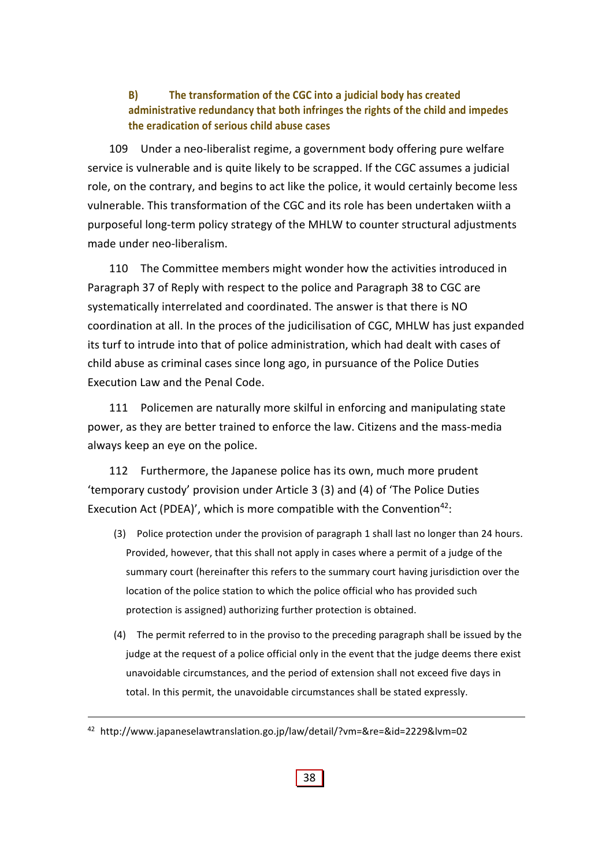## **B) The transformation of the CGC into a judicial body has created administrative redundancy that both infringes the rights of the child and impedes the eradication of serious child abuse cases**

109 Under a neo-liberalist regime, a government body offering pure welfare service is vulnerable and is quite likely to be scrapped. If the CGC assumes a judicial role, on the contrary, and begins to act like the police, it would certainly become less vulnerable. This transformation of the CGC and its role has been undertaken wiith a purposeful long‐term policy strategy of the MHLW to counter structural adjustments made under neo‐liberalism.

110 The Committee members might wonder how the activities introduced in Paragraph 37 of Reply with respect to the police and Paragraph 38 to CGC are systematically interrelated and coordinated. The answer is that there is NO coordination at all. In the proces of the judicilisation of CGC, MHLW has just expanded its turf to intrude into that of police administration, which had dealt with cases of child abuse as criminal cases since long ago, in pursuance of the Police Duties Execution Law and the Penal Code.

111 Policemen are naturally more skilful in enforcing and manipulating state power, as they are better trained to enforce the law. Citizens and the mass‐media always keep an eye on the police.

112 Furthermore, the Japanese police has its own, much more prudent 'temporary custody' provision under Article 3 (3) and (4) of 'The Police Duties Execution Act (PDEA)', which is more compatible with the Convention<sup>42</sup>:

- (3) Police protection under the provision of paragraph 1 shall last no longer than 24 hours. Provided, however, that this shall not apply in cases where a permit of a judge of the summary court (hereinafter this refers to the summary court having jurisdiction over the location of the police station to which the police official who has provided such protection is assigned) authorizing further protection is obtained.
- (4) The permit referred to in the proviso to the preceding paragraph shall be issued by the judge at the request of a police official only in the event that the judge deems there exist unavoidable circumstances, and the period of extension shall not exceed five days in total. In this permit, the unavoidable circumstances shall be stated expressly.

<sup>42</sup> http://www.japaneselawtranslation.go.jp/law/detail/?vm=&re=&id=2229&lvm=02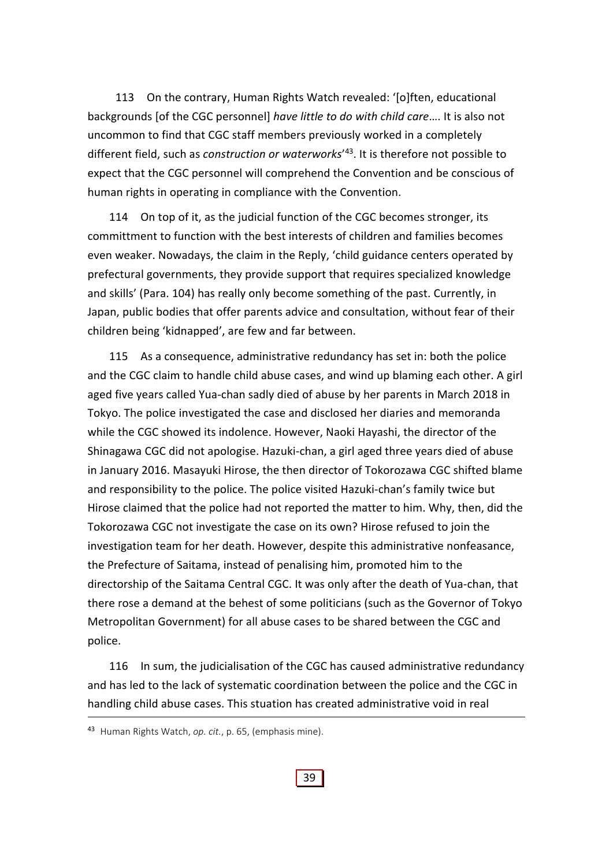113 On the contrary, Human Rights Watch revealed: '[o]ften, educational backgrounds [of the CGC personnel] *have little to do with child care*…. It is also not uncommon to find that CGC staff members previously worked in a completely different field, such as *construction or waterworks*' 43. It is therefore not possible to expect that the CGC personnel will comprehend the Convention and be conscious of human rights in operating in compliance with the Convention.

114 On top of it, as the judicial function of the CGC becomes stronger, its committment to function with the best interests of children and families becomes even weaker. Nowadays, the claim in the Reply, 'child guidance centers operated by prefectural governments, they provide support that requires specialized knowledge and skills' (Para. 104) has really only become something of the past. Currently, in Japan, public bodies that offer parents advice and consultation, without fear of their children being 'kidnapped', are few and far between.

115 As a consequence, administrative redundancy has set in: both the police and the CGC claim to handle child abuse cases, and wind up blaming each other. A girl aged five years called Yua‐chan sadly died of abuse by her parents in March 2018 in Tokyo. The police investigated the case and disclosed her diaries and memoranda while the CGC showed its indolence. However, Naoki Hayashi, the director of the Shinagawa CGC did not apologise. Hazuki‐chan, a girl aged three years died of abuse in January 2016. Masayuki Hirose, the then director of Tokorozawa CGC shifted blame and responsibility to the police. The police visited Hazuki‐chan's family twice but Hirose claimed that the police had not reported the matter to him. Why, then, did the Tokorozawa CGC not investigate the case on its own? Hirose refused to join the investigation team for her death. However, despite this administrative nonfeasance, the Prefecture of Saitama, instead of penalising him, promoted him to the directorship of the Saitama Central CGC. It was only after the death of Yua‐chan, that there rose a demand at the behest of some politicians (such as the Governor of Tokyo Metropolitan Government) for all abuse cases to be shared between the CGC and police.

116 In sum, the judicialisation of the CGC has caused administrative redundancy and has led to the lack of systematic coordination between the police and the CGC in handling child abuse cases. This stuation has created administrative void in real

#### 39

<sup>43</sup> Human Rights Watch, *op. cit.*, p. 65, (emphasis mine).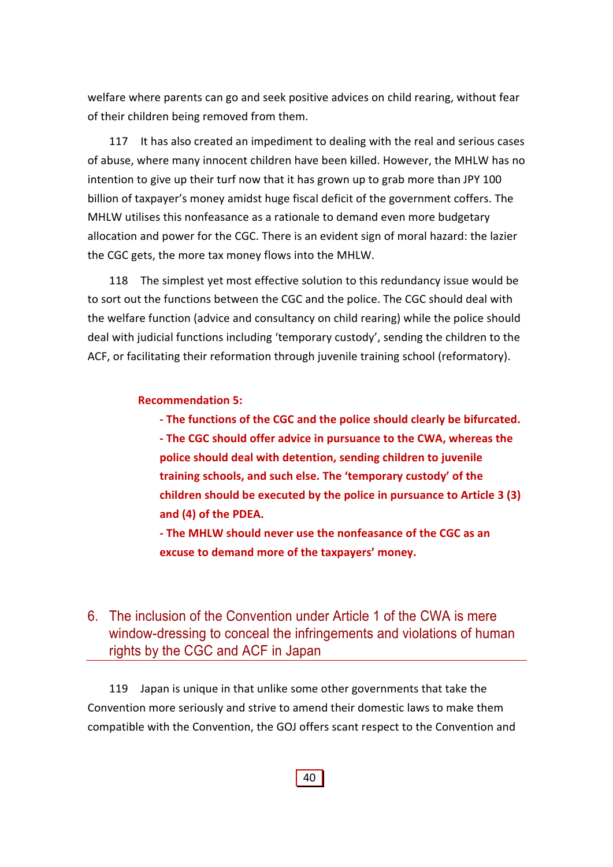welfare where parents can go and seek positive advices on child rearing, without fear of their children being removed from them.

117 It has also created an impediment to dealing with the real and serious cases of abuse, where many innocent children have been killed. However, the MHLW has no intention to give up their turf now that it has grown up to grab more than JPY 100 billion of taxpayer's money amidst huge fiscal deficit of the government coffers. The MHLW utilises this nonfeasance as a rationale to demand even more budgetary allocation and power for the CGC. There is an evident sign of moral hazard: the lazier the CGC gets, the more tax money flows into the MHLW.

118 The simplest yet most effective solution to this redundancy issue would be to sort out the functions between the CGC and the police. The CGC should deal with the welfare function (advice and consultancy on child rearing) while the police should deal with judicial functions including 'temporary custody', sending the children to the ACF, or facilitating their reformation through juvenile training school (reformatory).

## **Recommendation 5:**

**‐ The functions of the CGC and the police should clearly be bifurcated.** 

**‐ The CGC should offer advice in pursuance to the CWA, whereas the police should deal with detention, sending children to juvenile training schools, and such else. The 'temporary custody' of the children should be executed by the police in pursuance to Article 3 (3) and (4) of the PDEA.** 

**‐ The MHLW should never use the nonfeasance of the CGC as an excuse to demand more of the taxpayers' money.**

## 6. The inclusion of the Convention under Article 1 of the CWA is mere window-dressing to conceal the infringements and violations of human rights by the CGC and ACF in Japan

119 Japan is unique in that unlike some other governments that take the Convention more seriously and strive to amend their domestic laws to make them compatible with the Convention, the GOJ offers scant respect to the Convention and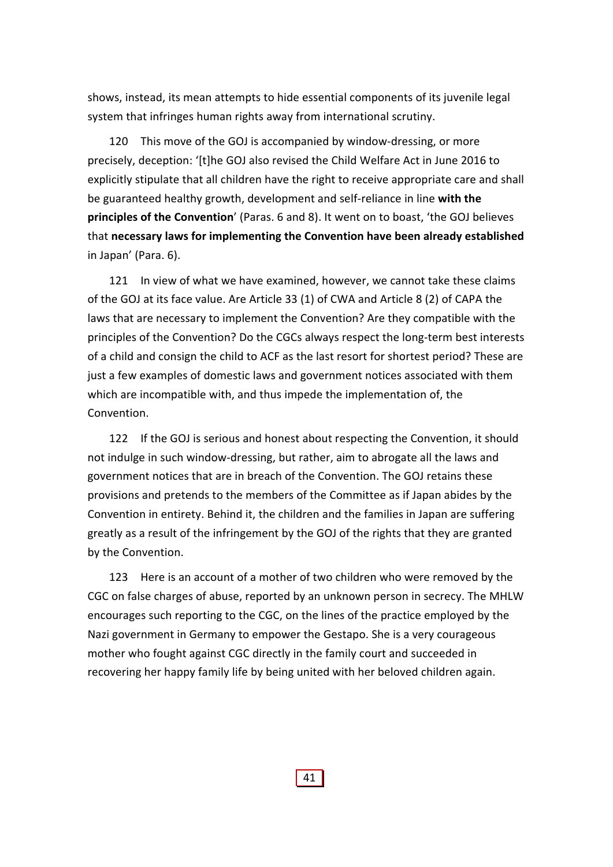shows, instead, its mean attempts to hide essential components of its juvenile legal system that infringes human rights away from international scrutiny.

120 This move of the GOJ is accompanied by window-dressing, or more precisely, deception: '[t]he GOJ also revised the Child Welfare Act in June 2016 to explicitly stipulate that all children have the right to receive appropriate care and shall be guaranteed healthy growth, development and self‐reliance in line **with the principles of the Convention**' (Paras. 6 and 8). It went on to boast, 'the GOJ believes that **necessary laws for implementing the Convention have been already established** in Japan' (Para. 6).

121 In view of what we have examined, however, we cannot take these claims of the GOJ at its face value. Are Article 33 (1) of CWA and Article 8 (2) of CAPA the laws that are necessary to implement the Convention? Are they compatible with the principles of the Convention? Do the CGCs always respect the long‐term best interests of a child and consign the child to ACF as the last resort for shortest period? These are just a few examples of domestic laws and government notices associated with them which are incompatible with, and thus impede the implementation of, the Convention.

122 If the GOJ is serious and honest about respecting the Convention, it should not indulge in such window‐dressing, but rather, aim to abrogate all the laws and government notices that are in breach of the Convention. The GOJ retains these provisions and pretends to the members of the Committee as if Japan abides by the Convention in entirety. Behind it, the children and the families in Japan are suffering greatly as a result of the infringement by the GOJ of the rights that they are granted by the Convention.

123 Here is an account of a mother of two children who were removed by the CGC on false charges of abuse, reported by an unknown person in secrecy. The MHLW encourages such reporting to the CGC, on the lines of the practice employed by the Nazi government in Germany to empower the Gestapo. She is a very courageous mother who fought against CGC directly in the family court and succeeded in recovering her happy family life by being united with her beloved children again.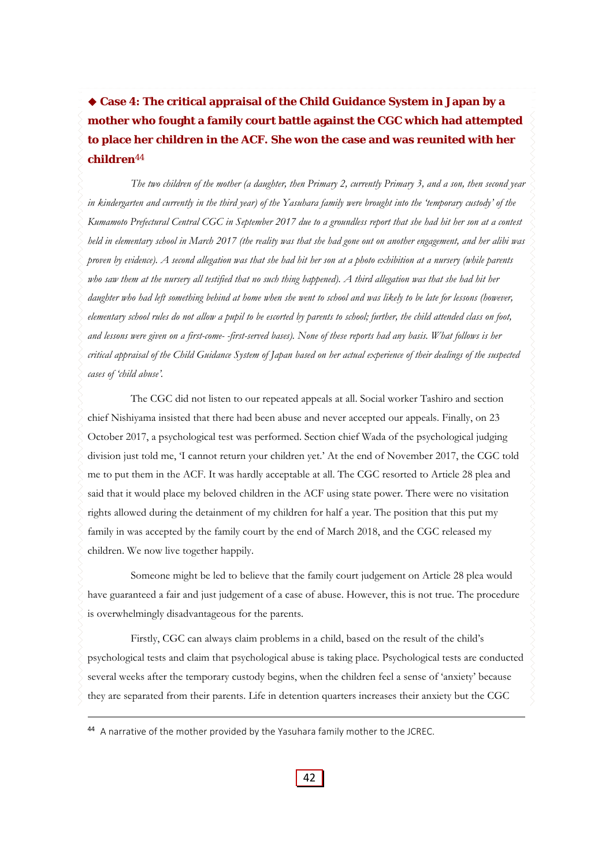**Case 4: The critical appraisal of the Child Guidance System in Japan by a mother who fought a family court battle against the CGC which had attempted to place her children in the ACF. She won the case and was reunited with her children**<sup>44</sup>

*The two children of the mother (a daughter, then Primary 2, currently Primary 3, and a son, then second year in kindergarten and currently in the third year) of the Yasuhara family were brought into the 'temporary custody' of the Kumamoto Prefectural Central CGC in September 2017 due to a groundless report that she had hit her son at a contest held in elementary school in March 2017 (the reality was that she had gone out on another engagement, and her alibi was proven by evidence). A second allegation was that she had hit her son at a photo exhibition at a nursery (while parents*  who saw them at the nursery all testified that no such thing happened). A third allegation was that she had hit her *daughter who had left something behind at home when she went to school and was likely to be late for lessons (however, elementary school rules do not allow a pupil to be escorted by parents to school; further, the child attended class on foot, and lessons were given on a first-come- -first-served bases). None of these reports had any basis. What follows is her critical appraisal of the Child Guidance System of Japan based on her actual experience of their dealings of the suspected cases of 'child abuse'.*

The CGC did not listen to our repeated appeals at all. Social worker Tashiro and section chief Nishiyama insisted that there had been abuse and never accepted our appeals. Finally, on 23 October 2017, a psychological test was performed. Section chief Wada of the psychological judging division just told me, 'I cannot return your children yet.' At the end of November 2017, the CGC told me to put them in the ACF. It was hardly acceptable at all. The CGC resorted to Article 28 plea and said that it would place my beloved children in the ACF using state power. There were no visitation rights allowed during the detainment of my children for half a year. The position that this put my family in was accepted by the family court by the end of March 2018, and the CGC released my children. We now live together happily.

Someone might be led to believe that the family court judgement on Article 28 plea would have guaranteed a fair and just judgement of a case of abuse. However, this is not true. The procedure is overwhelmingly disadvantageous for the parents.

Firstly, CGC can always claim problems in a child, based on the result of the child's psychological tests and claim that psychological abuse is taking place. Psychological tests are conducted several weeks after the temporary custody begins, when the children feel a sense of 'anxiety' because they are separated from their parents. Life in detention quarters increases their anxiety but the CGC

44 A narrative of the mother provided by the Yasuhara family mother to the JCREC.

42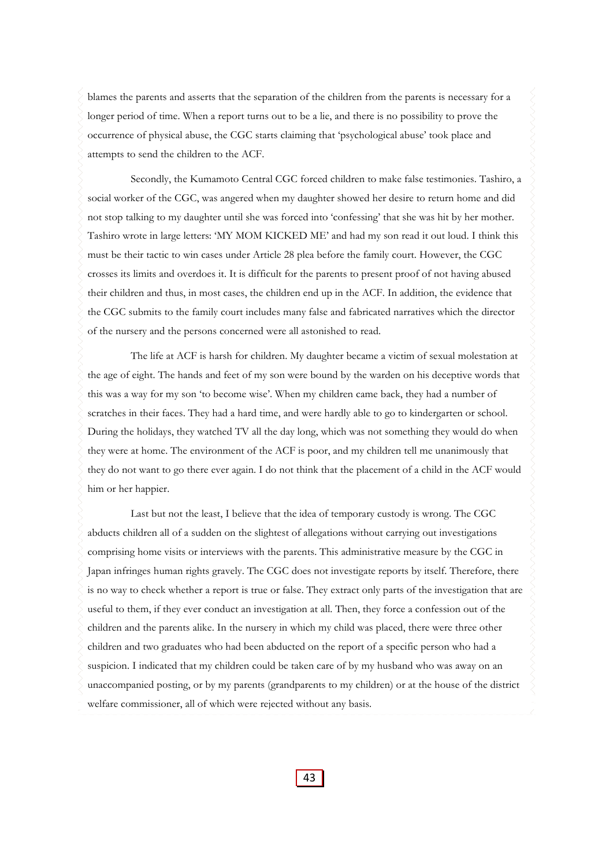blames the parents and asserts that the separation of the children from the parents is necessary for a longer period of time. When a report turns out to be a lie, and there is no possibility to prove the occurrence of physical abuse, the CGC starts claiming that 'psychological abuse' took place and attempts to send the children to the ACF.

Secondly, the Kumamoto Central CGC forced children to make false testimonies. Tashiro, a social worker of the CGC, was angered when my daughter showed her desire to return home and did not stop talking to my daughter until she was forced into 'confessing' that she was hit by her mother. Tashiro wrote in large letters: 'MY MOM KICKED ME' and had my son read it out loud. I think this must be their tactic to win cases under Article 28 plea before the family court. However, the CGC crosses its limits and overdoes it. It is difficult for the parents to present proof of not having abused their children and thus, in most cases, the children end up in the ACF. In addition, the evidence that the CGC submits to the family court includes many false and fabricated narratives which the director of the nursery and the persons concerned were all astonished to read.

The life at ACF is harsh for children. My daughter became a victim of sexual molestation at the age of eight. The hands and feet of my son were bound by the warden on his deceptive words that this was a way for my son 'to become wise'. When my children came back, they had a number of scratches in their faces. They had a hard time, and were hardly able to go to kindergarten or school. During the holidays, they watched TV all the day long, which was not something they would do when they were at home. The environment of the ACF is poor, and my children tell me unanimously that they do not want to go there ever again. I do not think that the placement of a child in the ACF would him or her happier.

Last but not the least, I believe that the idea of temporary custody is wrong. The CGC abducts children all of a sudden on the slightest of allegations without carrying out investigations comprising home visits or interviews with the parents. This administrative measure by the CGC in Japan infringes human rights gravely. The CGC does not investigate reports by itself. Therefore, there is no way to check whether a report is true or false. They extract only parts of the investigation that are useful to them, if they ever conduct an investigation at all. Then, they force a confession out of the children and the parents alike. In the nursery in which my child was placed, there were three other children and two graduates who had been abducted on the report of a specific person who had a suspicion. I indicated that my children could be taken care of by my husband who was away on an unaccompanied posting, or by my parents (grandparents to my children) or at the house of the district welfare commissioner, all of which were rejected without any basis.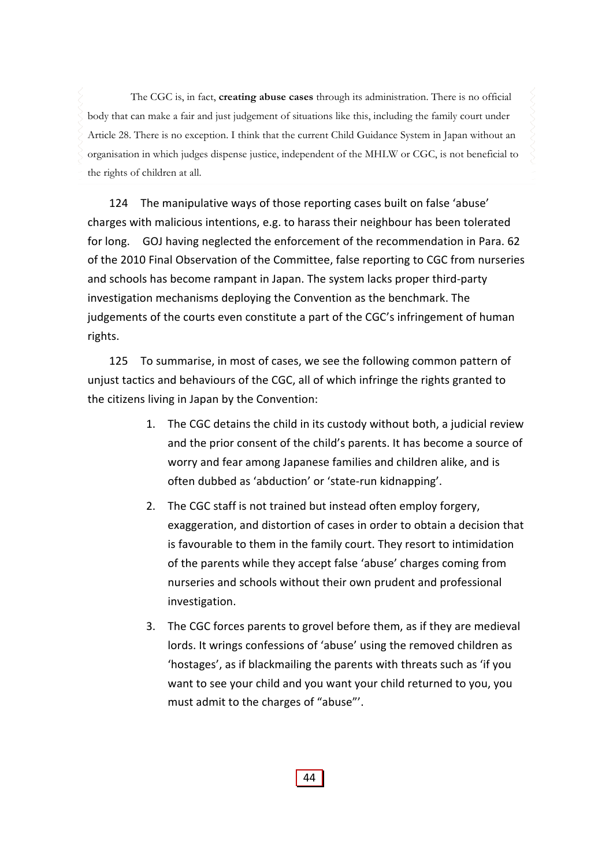The CGC is, in fact, **creating abuse cases** through its administration. There is no official body that can make a fair and just judgement of situations like this, including the family court under Article 28. There is no exception. I think that the current Child Guidance System in Japan without an organisation in which judges dispense justice, independent of the MHLW or CGC, is not beneficial to the rights of children at all.

124 The manipulative ways of those reporting cases built on false 'abuse' charges with malicious intentions, e.g. to harass their neighbour has been tolerated for long. GOJ having neglected the enforcement of the recommendation in Para. 62 of the 2010 Final Observation of the Committee, false reporting to CGC from nurseries and schools has become rampant in Japan. The system lacks proper third-party investigation mechanisms deploying the Convention as the benchmark. The judgements of the courts even constitute a part of the CGC's infringement of human rights.

125 To summarise, in most of cases, we see the following common pattern of unjust tactics and behaviours of the CGC, all of which infringe the rights granted to the citizens living in Japan by the Convention:

- 1. The CGC detains the child in its custody without both, a judicial review and the prior consent of the child's parents. It has become a source of worry and fear among Japanese families and children alike, and is often dubbed as 'abduction' or 'state‐run kidnapping'.
- 2. The CGC staff is not trained but instead often employ forgery, exaggeration, and distortion of cases in order to obtain a decision that is favourable to them in the family court. They resort to intimidation of the parents while they accept false 'abuse' charges coming from nurseries and schools without their own prudent and professional investigation.
- 3. The CGC forces parents to grovel before them, as if they are medieval lords. It wrings confessions of 'abuse' using the removed children as 'hostages', as if blackmailing the parents with threats such as 'if you want to see your child and you want your child returned to you, you must admit to the charges of "abuse"'.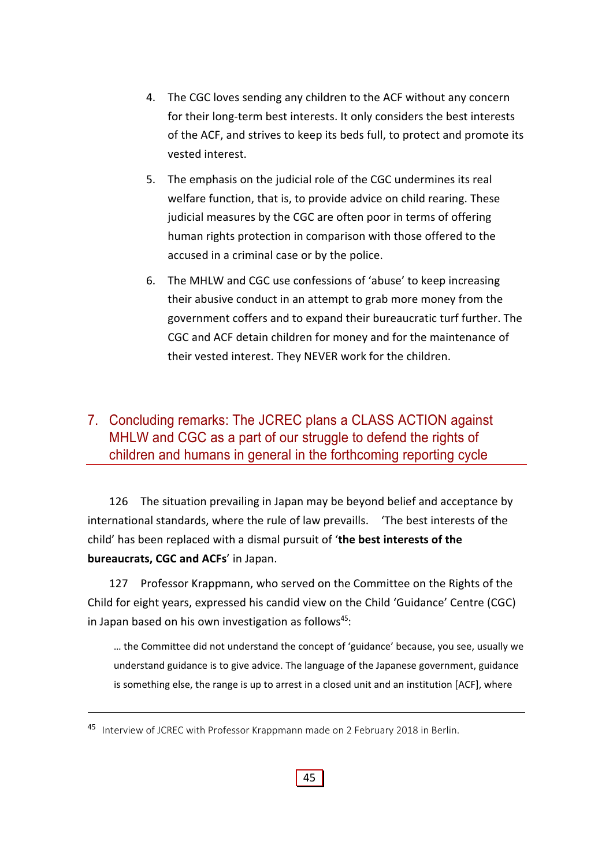- 4. The CGC loves sending any children to the ACF without any concern for their long‐term best interests. It only considers the best interests of the ACF, and strives to keep its beds full, to protect and promote its vested interest.
- 5. The emphasis on the judicial role of the CGC undermines its real welfare function, that is, to provide advice on child rearing. These judicial measures by the CGC are often poor in terms of offering human rights protection in comparison with those offered to the accused in a criminal case or by the police.
- 6. The MHLW and CGC use confessions of 'abuse' to keep increasing their abusive conduct in an attempt to grab more money from the government coffers and to expand their bureaucratic turf further. The CGC and ACF detain children for money and for the maintenance of their vested interest. They NEVER work for the children.

# 7. Concluding remarks: The JCREC plans a CLASS ACTION against MHLW and CGC as a part of our struggle to defend the rights of children and humans in general in the forthcoming reporting cycle

126 The situation prevailing in Japan may be beyond belief and acceptance by international standards, where the rule of law prevaills. 'The best interests of the child' has been replaced with a dismal pursuit of '**the best interests of the bureaucrats, CGC and ACFs**' in Japan.

127 Professor Krappmann, who served on the Committee on the Rights of the Child for eight years, expressed his candid view on the Child 'Guidance' Centre (CGC) in Japan based on his own investigation as follows $45$ :

… the Committee did not understand the concept of 'guidance' because, you see, usually we understand guidance is to give advice. The language of the Japanese government, guidance is something else, the range is up to arrest in a closed unit and an institution [ACF], where

<sup>45</sup> Interview of JCREC with Professor Krappmann made on 2 February 2018 in Berlin.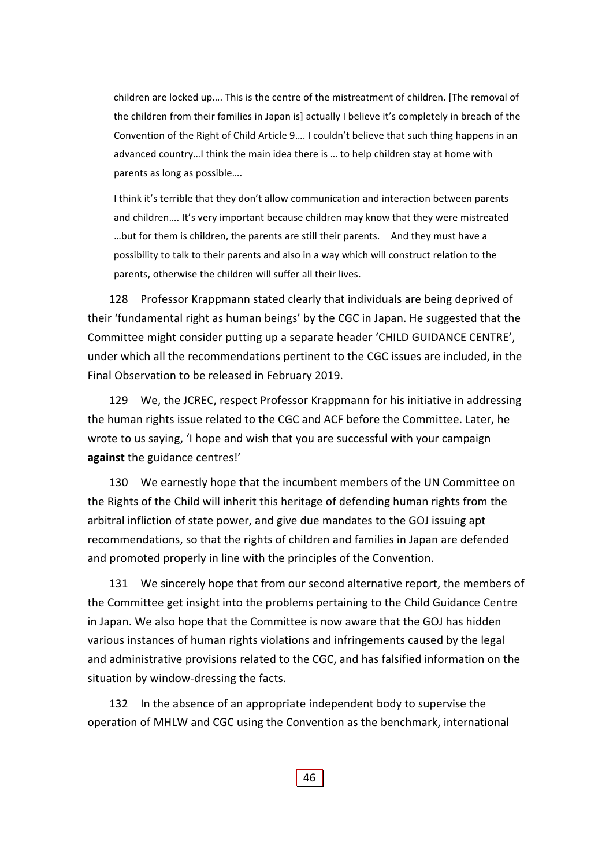children are locked up…. This is the centre of the mistreatment of children. [The removal of the children from their families in Japan is] actually I believe it's completely in breach of the Convention of the Right of Child Article 9…. I couldn't believe that such thing happens in an advanced country…I think the main idea there is … to help children stay at home with parents as long as possible….

I think it's terrible that they don't allow communication and interaction between parents and children…. It's very important because children may know that they were mistreated …but for them is children, the parents are still their parents. And they must have a possibility to talk to their parents and also in a way which will construct relation to the parents, otherwise the children will suffer all their lives.

128 Professor Krappmann stated clearly that individuals are being deprived of their 'fundamental right as human beings' by the CGC in Japan. He suggested that the Committee might consider putting up a separate header 'CHILD GUIDANCE CENTRE', under which all the recommendations pertinent to the CGC issues are included, in the Final Observation to be released in February 2019.

129 We, the JCREC, respect Professor Krappmann for his initiative in addressing the human rights issue related to the CGC and ACF before the Committee. Later, he wrote to us saying, 'I hope and wish that you are successful with your campaign **against** the guidance centres!'

130 We earnestly hope that the incumbent members of the UN Committee on the Rights of the Child will inherit this heritage of defending human rights from the arbitral infliction of state power, and give due mandates to the GOJ issuing apt recommendations, so that the rights of children and families in Japan are defended and promoted properly in line with the principles of the Convention.

131 We sincerely hope that from our second alternative report, the members of the Committee get insight into the problems pertaining to the Child Guidance Centre in Japan. We also hope that the Committee is now aware that the GOJ has hidden various instances of human rights violations and infringements caused by the legal and administrative provisions related to the CGC, and has falsified information on the situation by window‐dressing the facts.

132 In the absence of an appropriate independent body to supervise the operation of MHLW and CGC using the Convention as the benchmark, international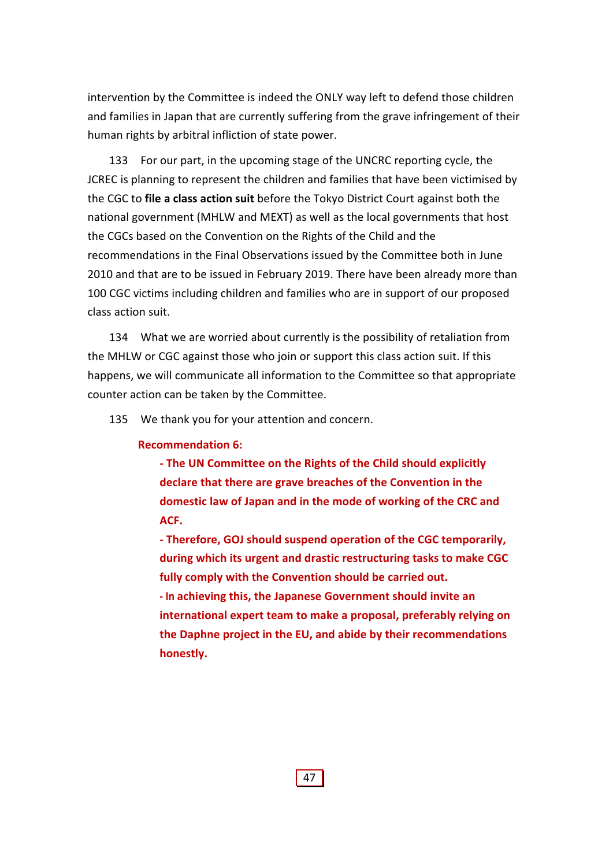intervention by the Committee is indeed the ONLY way left to defend those children and families in Japan that are currently suffering from the grave infringement of their human rights by arbitral infliction of state power.

133 For our part, in the upcoming stage of the UNCRC reporting cycle, the JCREC is planning to represent the children and families that have been victimised by the CGC to **file a class action suit** before the Tokyo District Court against both the national government (MHLW and MEXT) as well as the local governments that host the CGCs based on the Convention on the Rights of the Child and the recommendations in the Final Observations issued by the Committee both in June 2010 and that are to be issued in February 2019. There have been already more than 100 CGC victims including children and families who are in support of our proposed class action suit.

134 What we are worried about currently is the possibility of retaliation from the MHLW or CGC against those who join or support this class action suit. If this happens, we will communicate all information to the Committee so that appropriate counter action can be taken by the Committee.

135 We thank you for your attention and concern.

#### **Recommendation 6:**

**‐ The UN Committee on the Rights of the Child should explicitly declare that there are grave breaches of the Convention in the domestic law of Japan and in the mode of working of the CRC and ACF.** 

**‐ Therefore, GOJ should suspend operation of the CGC temporarily, during which its urgent and drastic restructuring tasks to make CGC fully comply with the Convention should be carried out. ‐ In achieving this, the Japanese Government should invite an international expert team to make a proposal, preferably relying on the Daphne project in the EU, and abide by their recommendations honestly.**

47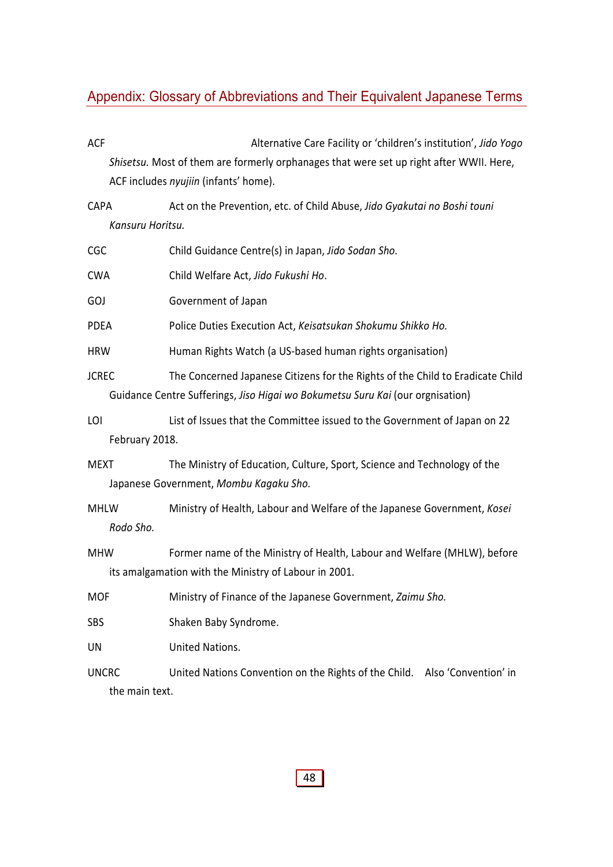# Appendix: Glossary of Abbreviations and Their Equivalent Japanese Terms

| <b>ACF</b>                     | Alternative Care Facility or 'children's institution', Jido Yogo                                                                                                 |
|--------------------------------|------------------------------------------------------------------------------------------------------------------------------------------------------------------|
|                                | Shisetsu. Most of them are formerly orphanages that were set up right after WWII. Here,                                                                          |
|                                | ACF includes nyujiin (infants' home).                                                                                                                            |
| <b>CAPA</b>                    | Act on the Prevention, etc. of Child Abuse, Jido Gyakutai no Boshi touni                                                                                         |
| Kansuru Horitsu.               |                                                                                                                                                                  |
| <b>CGC</b>                     | Child Guidance Centre(s) in Japan, Jido Sodan Sho.                                                                                                               |
| <b>CWA</b>                     | Child Welfare Act, Jido Fukushi Ho.                                                                                                                              |
| GOJ                            | Government of Japan                                                                                                                                              |
| <b>PDEA</b>                    | Police Duties Execution Act, Keisatsukan Shokumu Shikko Ho.                                                                                                      |
| <b>HRW</b>                     | Human Rights Watch (a US-based human rights organisation)                                                                                                        |
| <b>JCREC</b>                   | The Concerned Japanese Citizens for the Rights of the Child to Eradicate Child<br>Guidance Centre Sufferings, Jiso Higai wo Bokumetsu Suru Kai (our orgnisation) |
| LOI<br>February 2018.          | List of Issues that the Committee issued to the Government of Japan on 22                                                                                        |
|                                |                                                                                                                                                                  |
| <b>MEXT</b>                    | The Ministry of Education, Culture, Sport, Science and Technology of the<br>Japanese Government, Mombu Kagaku Sho.                                               |
| <b>MHLW</b><br>Rodo Sho.       | Ministry of Health, Labour and Welfare of the Japanese Government, Kosei                                                                                         |
| <b>MHW</b>                     | Former name of the Ministry of Health, Labour and Welfare (MHLW), before<br>its amalgamation with the Ministry of Labour in 2001.                                |
| MOF                            | Ministry of Finance of the Japanese Government, Zaimu Sho.                                                                                                       |
| <b>SBS</b>                     | Shaken Baby Syndrome.                                                                                                                                            |
| UN                             | United Nations.                                                                                                                                                  |
| <b>UNCRC</b><br>the main text. | United Nations Convention on the Rights of the Child. Also 'Convention' in                                                                                       |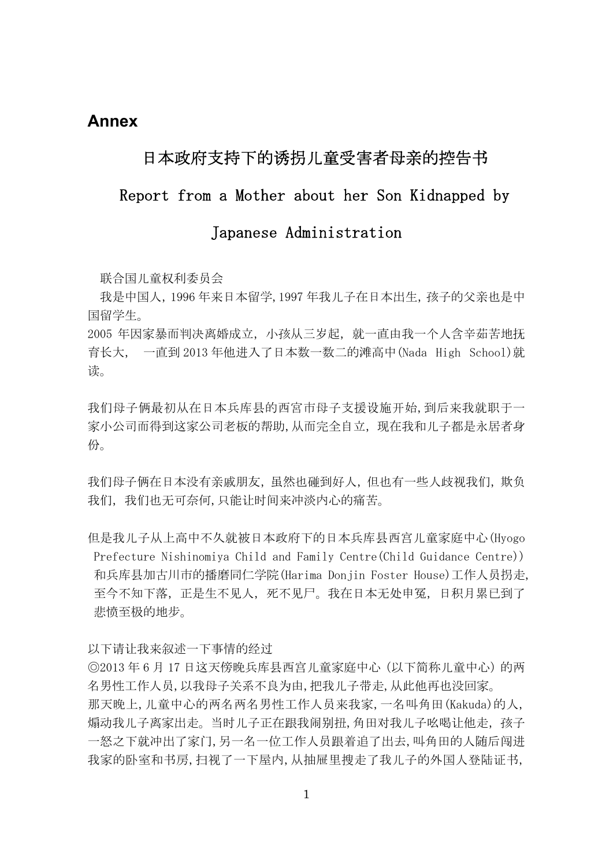## **Annex**

# 日本政府支持下的诱拐儿童受害者母亲的控告书

## Report from a Mother about her Son Kidnapped by

# Japanese Administration

联合国儿童权利委员会

我是中国人,1996 年来日本留学,1997 年我儿子在日本出生,孩子的父亲也是中 国留学生。

2005 年因家暴而判决离婚成立,小孩从三岁起,就一直由我一个人含辛茹苦地抚 育长大, 一直到 2013 年他进入了日本数一数二的滩高中(Nada High School)就 读。

我们母子俩最初从在日本兵库县的西宮市母子支援设施开始,到后来我就职于一 家小公司而得到这家公司老板的帮助,从而完全自立, 现在我和儿子都是永居者身 份。

我们母子俩在日本没有亲戚朋友,虽然也碰到好人,但也有一些人歧视我们,欺负 我们,我们也无可奈何,只能让时间来冲淡内心的痛苦。

但是我儿子从上高中不久就被日本政府下的日本兵库县西宫儿童家庭中心(Hyogo Prefecture Nishinomiya Child and Family Centre(Child Guidance Centre)) 和兵库县加古川市的播磨同仁学院(Harima Donjin Foster House)工作人员拐走, 至今不知下落,正是生不见人,死不见尸。我在日本无处申冤,日积月累已到了 悲愤至极的地步。

以下请让我来叙述一下事情的经过

◎2013 年 6 月 17 日这天傍晚兵库县西宫儿童家庭中心(以下简称儿童中心)的两 名男性工作人员,以我母子关系不良为由,把我儿子带走,从此他再也没回家。 那天晚上,儿童中心的两名两名男性工作人员来我家,一名叫角田(Kakuda)的人, 煽动我儿子离家出走。当时儿子正在跟我闹别扭,角田对我儿子吆喝让他走, 孩子 一怒之下就冲出了家门,另一名一位工作人员跟着追了出去,叫角田的人随后闯进 我家的卧室和书房,扫视了一下屋内,从抽屉里搜走了我儿子的外国人登陆证书,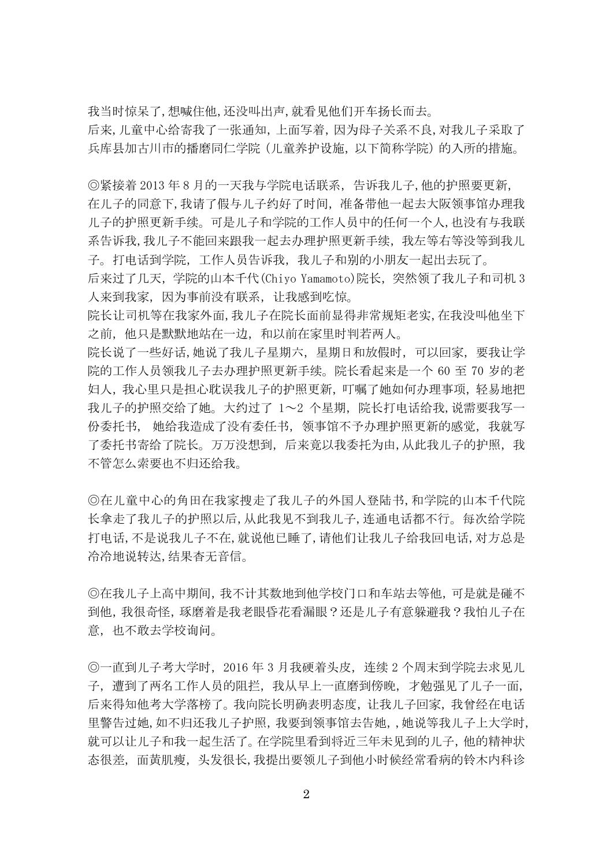我当时惊呆了,想喊住他,还没叫出声,就看见他们开车扬长而去。

后来,儿童中心给寄我了一张通知,上面写着,因为母子关系不良,对我儿子采取了 兵库县加古川市的播磨同仁学院 (儿童养护设施, 以下简称学院) 的入所的措施。

◎紧接着 2013 年 8 月的一天我与学院电话联系,告诉我儿子,他的护照要更新, 在儿子的同意下,我请了假与儿子约好了时间,准备带他一起去大阪领事馆办理我 儿子的护照更新手续。可是儿子和学院的工作人员中的任何一个人,也没有与我联 系告诉我,我儿子不能回来跟我一起去办理护照更新手续,我左等右等没等到我儿 子。打电话到学院,工作人员告诉我,我儿子和别的小朋友一起出去玩了。

后来过了几天,学院的山本千代(Chiyo Yamamoto)院长,突然领了我儿子和司机 3 人来到我家,因为事前没有联系,让我感到吃惊。

院长让司机等在我家外面,我儿子在院长面前显得非常规矩老实,在我没叫他坐下 之前,他只是默默地站在一边,和以前在家里时判若两人。

院长说了一些好话,她说了我儿子星期六,星期日和放假时,可以回家,要我让学 院的工作人员领我儿子去办理护照更新手续。院长看起来是一个 60 至 70 岁的老 妇人,我心里只是担心耽误我儿子的护照更新,叮嘱了她如何办理事项,轻易地把 我儿子的护照交给了她。大约过了 1~2 个星期,院长打电话给我, 说需要我写一 份委托书, 她给我造成了没有委任书, 领事馆不予办理护照更新的感觉, 我就写 了委托书寄给了院长。万万没想到,后来竟以我委托为由,从此我儿子的护照,我 不管怎么索要也不归还给我。

◎在儿童中心的角田在我家搜走了我儿子的外国人登陆书,和学院的山本千代院 长拿走了我儿子的护照以后,从此我见不到我儿子,连通电话都不行。每次给学院 打电话,不是说我儿子不在,就说他已睡了,请他们让我儿子给我回电话,对方总是 冷冷地说转达,结果杳无音信。

◎在我儿子上高中期间,我不计其数地到他学校门口和车站去等他,可是就是碰不 到他,我很奇怪,琢磨着是我老眼昏花看漏眼?还是儿子有意躲避我?我怕儿子在 意,也不敢去学校询问。

◎一直到儿子考大学时,2016 年 3 月我硬着头皮,连续 2 个周末到学院去求见儿 子,遭到了两名工作人员的阻拦,我从早上一直磨到傍晚,才勉强见了儿子一面, 后来得知他考大学落榜了。我向院长明确表明态度,让我儿子回家,我曾经在电话 里警告过她,如不归还我儿子护照,我要到领事馆去告她,,她说等我儿子上大学时, 就可以让儿子和我一起生活了。在学院里看到将近三年未见到的儿子,他的精神状 态很差,面黄肌瘦,头发很长,我提出要领儿子到他小时候经常看病的铃木内科诊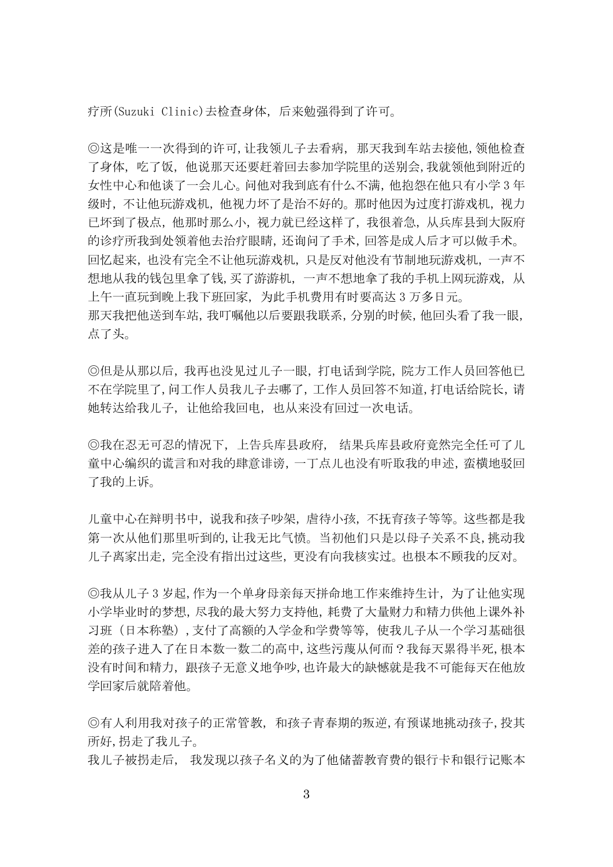疗所(Suzuki Clinic)去检查身体,后来勉强得到了许可。

◎这是唯一一次得到的许可,让我领儿子去看病,那天我到车站去接他,领他检查 了身体,吃了饭,他说那天还要赶着回去参加学院里的送别会,我就领他到附近的 女性中心和他谈了一会儿心。问他对我到底有什么不满,他抱怨在他只有小学 3 年 级时,不让他玩游戏机,他视力坏了是治不好的。那时他因为过度打游戏机,视力 已坏到了极点,他那时那么小,视力就已经这样了,我很着急,从兵库县到大阪府 的诊疗所我到处领着他去治疗眼睛,还询问了手术,回答是成人后才可以做手术。 回忆起来,也没有完全不让他玩游戏机,只是反对他没有节制地玩游戏机,一声不 想地从我的钱包里拿了钱,买了游游机,一声不想地拿了我的手机上网玩游戏,从 上午一直玩到晚上我下班回家,为此手机费用有时要高达 3 万多日元。 那天我把他送到车站,我叮嘱他以后要跟我联系,分别的时候,他回头看了我一眼, 点了头。

◎但是从那以后,我再也没见过儿子一眼,打电话到学院,院方工作人员回答他已 不在学院里了,问工作人员我儿子去哪了,工作人员回答不知道,打电话给院长,请 她转达给我儿子,让他给我回电,也从来没有回过一次电话。

◎我在忍无可忍的情况下,上告兵库县政府, 结果兵库县政府竟然完全任可了儿 童中心编织的谎言和对我的肆意诽谤,一丁点儿也没有听取我的申述,蛮横地驳回 了我的上诉。

儿童中心在辩明书中, 说我和孩子吵架, 虐待小孩, 不抚育孩子等等。这些都是我 第一次从他们那里听到的,让我无比气愤。当初他们只是以母子关系不良,挑动我 儿子离家出走,完全没有指出过这些,更没有向我核实过。也根本不顾我的反对。

◎我从儿子 3 岁起,作为一个单身母亲每天拼命地工作来维持生计,为了让他实现 小学毕业时的梦想,尽我的最大努力支持他,耗费了大量财力和精力供他上课外补 习班(日本称塾),支付了高额的入学金和学费等等,使我儿子从一个学习基础很 差的孩子进入了在日本数一数二的高中,这些污蔑从何而?我每天累得半死,根本 没有时间和精力,跟孩子无意义地争吵,也许最大的缺憾就是我不可能每天在他放 学回家后就陪着他。

◎有人利用我对孩子的正常管教,和孩子青春期的叛逆,有预谋地挑动孩子,投其 所好,拐走了我儿子。

我儿子被拐走后, 我发现以孩子名义的为了他储蓄教育费的银行卡和银行记账本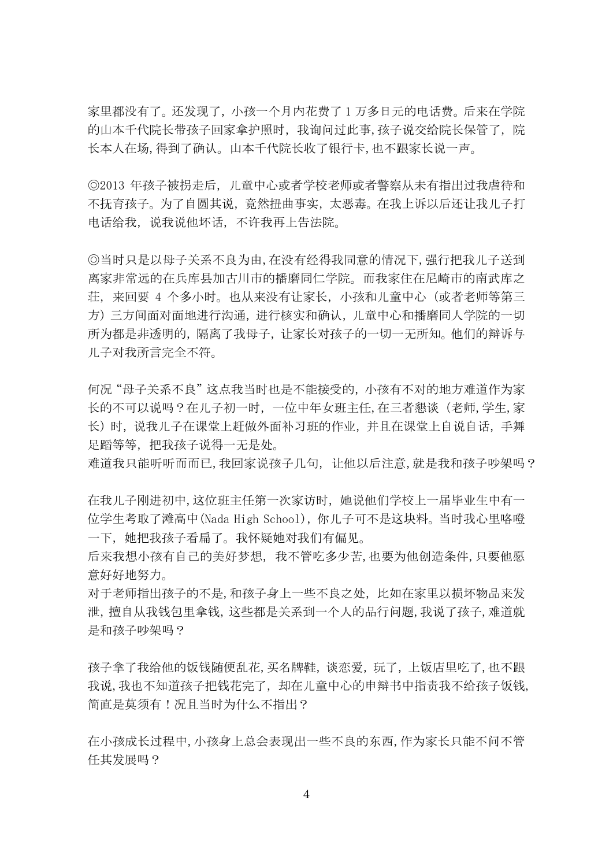家里都没有了。还发现了,小孩一个月内花费了 1 万多日元的电话费。后来在学院 的山本千代院长带孩子回家拿护照时,我询问过此事,孩子说交给院长保管了,院 长本人在场,得到了确认。山本千代院长收了银行卡,也不跟家长说一声。

◎2013 年孩子被拐走后,儿童中心或者学校老师或者警察从未有指出过我虐待和 不抚育孩子。为了自圆其说,竟然扭曲事实,太恶毒。在我上诉以后还让我儿子打 电话给我,说我说他坏话,不许我再上告法院。

◎当时只是以母子关系不良为由,在没有经得我同意的情况下,强行把我儿子送到 离家非常远的在兵库县加古川市的播磨同仁学院。而我家住在尼崎市的南武库之 荘,来回要 4 个多小时。也从来没有让家长,小孩和儿童中心(或者老师等第三 方)三方间面对面地进行沟通,进行核实和确认,儿童中心和播磨同人学院的一切 所为都是非透明的,隔离了我母子,让家长对孩子的一切一无所知。他们的辩诉与 儿子对我所言完全不符。

何况"母子关系不良"这点我当时也是不能接受的,小孩有不对的地方难道作为家 长的不可以说吗?在儿子初一时,一位中年女班主任,在三者懇谈(老师,学生,家 长)时,说我儿子在课堂上赶做外面补习班的作业,并且在课堂上自说自话,手舞 足蹈等等,把我孩子说得一无是处。

难道我只能听听而而已,我回家说孩子几句,让他以后注意,就是我和孩子吵架吗?

在我儿子刚进初中,这位班主任第一次家访时,她说他们学校上一届毕业生中有一 位学生考取了滩高中(Nada High School), 你儿子可不是这块料。当时我心里咯噔 一下,她把我孩子看扁了。我怀疑她对我们有偏见。

后来我想小孩有自己的美好梦想,我不管吃多少苦,也要为他创造条件,只要他愿 意好好地努力。

对于老师指出孩子的不是,和孩子身上一些不良之处,比如在家里以损坏物品来发 泄,擅自从我钱包里拿钱,这些都是关系到一个人的品行问题,我说了孩子,难道就 是和孩子吵架吗?

孩子拿了我给他的饭钱随便乱花,买名牌鞋,谈恋爱,玩了,上饭店里吃了,也不跟 我说,我也不知道孩子把钱花完了,却在儿童中心的申辩书中指责我不给孩子饭钱, 简直是莫须有!况且当时为什么不指出?

在小孩成长过程中,小孩身上总会表现出一些不良的东西,作为家长只能不问不管 任其发展吗?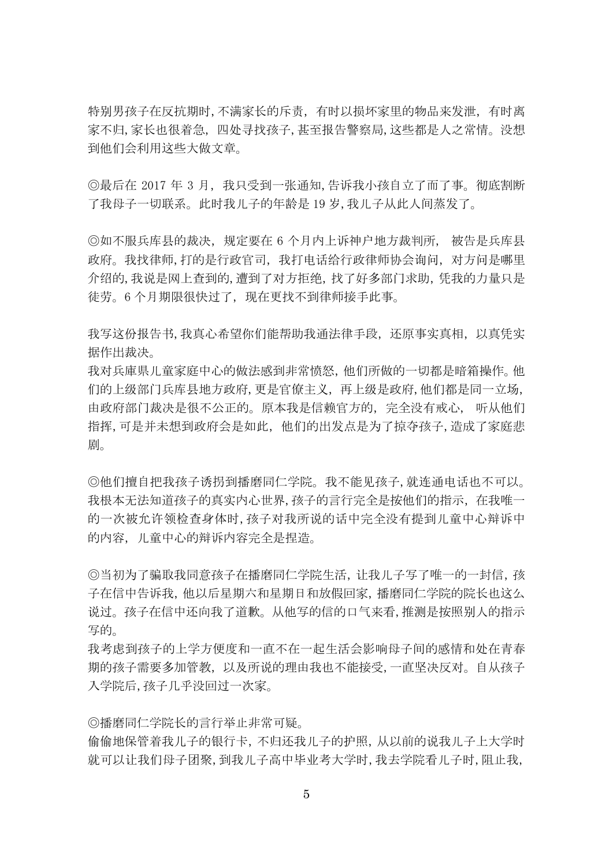特别男孩子在反抗期时,不满家长的斥责,有时以损坏家里的物品来发泄,有时离 家不归,家长也很着急,四处寻找孩子,甚至报告警察局,这些都是人之常情。没想 到他们会利用这些大做文章。

◎最后在 2017年3月,我只受到一张通知,告诉我小孩自立了而了事。彻底割断 了我母子一切联系。此时我儿子的年龄是 19 岁,我儿子从此人间蒸发了。

◎如不服兵库县的裁决,规定要在 6 个月内上诉神户地方裁判所, 被告是兵库县 政府。我找律师,打的是行政官司,我打电话给行政律师协会询问,对方问是哪里 介绍的,我说是网上查到的,遭到了对方拒绝,找了好多部门求助,凭我的力量只是 徒劳。6个月期限很快过了, 现在更找不到律师接手此事。

我写这份报告书,我真心希望你们能帮助我通法律手段,还原事实真相,以真凭实 据作出裁决。

我对兵庫県儿童家庭中心的做法感到非常愤怒,他们所做的一切都是暗箱操作。他 们的上级部门兵库县地方政府,更是官僚主义,再上级是政府,他们都是同一立场, 由政府部门裁决是很不公正的。原本我是信赖官方的,完全没有戒心, 听从他们 指挥,可是并未想到政府会是如此,他们的出发点是为了掠夺孩子,造成了家庭悲 剧。

◎他们擅自把我孩子诱拐到播磨同仁学院。我不能见孩子,就连通电话也不可以。 我根本无法知道孩子的真实内心世界,孩子的言行完全是按他们的指示,在我唯一 的一次被允许领检查身体时,孩子对我所说的话中完全没有提到儿童中心辩诉中 的内容,儿童中心的辩诉内容完全是捏造。

◎当初为了骗取我同意孩子在播磨同仁学院生活,让我儿子写了唯一的一封信,孩 子在信中告诉我,他以后星期六和星期日和放假回家,播磨同仁学院的院长也这么 说过。孩子在信中还向我了道歉。从他写的信的口气来看,推测是按照别人的指示 写的。

我考虑到孩子的上学方便度和一直不在一起生活会影响母子间的感情和处在青春 期的孩子需要多加管教,以及所说的理由我也不能接受,一直坚决反对。自从孩子 入学院后,孩子几乎没回过一次家。

◎播磨同仁学院长的言行举止非常可疑。

偷偷地保管着我儿子的银行卡,不归还我儿子的护照,从以前的说我儿子上大学时 就可以让我们母子团聚,到我儿子高中毕业考大学时,我去学院看儿子时,阻止我,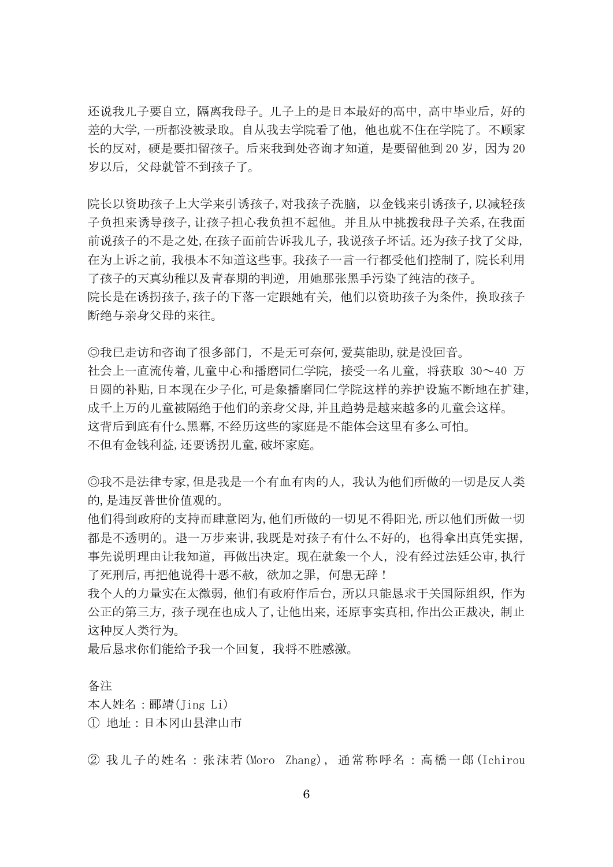还说我儿子要自立,隔离我母子。儿子上的是日本最好的高中,高中毕业后,好的 差的大学,一所都没被录取。自从我去学院看了他,他也就不住在学院了。不顾家 长的反对, 硬是要扣留孩子。后来我到处咨询才知道, 是要留他到 20 岁, 因为 20 岁以后,父母就管不到孩子了。

院长以资助孩子上大学来引诱孩子,对我孩子洗脑,以金钱来引诱孩子,以减轻孩 子负担来诱导孩子,让孩子担心我负担不起他。并且从中挑拨我母子关系,在我面 前说孩子的不是之处,在孩子面前告诉我儿子,我说孩子坏话。还为孩子找了父母, 在为上诉之前,我根本不知道这些事。我孩子一言一行都受他们控制了,院长利用 了孩子的天真幼稚以及青春期的判逆,用她那张黑手污染了纯洁的孩子。 院长是在诱拐孩子,孩子的下落一定跟她有关,他们以资助孩子为条件,换取孩子 断绝与亲身父母的来往。

◎我已走访和咨询了很多部门,不是无可奈何,爱莫能助,就是没回音。 社会上一直流传着,儿童中心和播磨同仁学院,接受一名儿童,将获取 30~40 万 日圆的补贴,日本现在少子化,可是象播磨同仁学院这样的养护设施不断地在扩建, 成千上万的儿童被隔绝于他们的亲身父母,并且趋势是越来越多的儿童会这样。 这背后到底有什么黑幕,不经历这些的家庭是不能体会这里有多么可怕。 不但有金钱利益,还要诱拐儿童,破坏家庭。

◎我不是法律专家,但是我是一个有血有肉的人,我认为他们所做的一切是反人类 的,是违反普世价值观的。

他们得到政府的支持而肆意罔为,他们所做的一切见不得阳光,所以他们所做一切 都是不透明的。退一万步来讲,我既是对孩子有什么不好的,也得拿出真凭实据, 事先说明理由让我知道,再做出决定。现在就象一个人,没有经过法廷公审,执行 了死刑后,再把他说得十恶不赦,欲加之罪,何患无辞!

我个人的力量实在太微弱,他们有政府作后台,所以只能恳求于关国际组织,作为 公正的第三方,孩子现在也成人了,让他出来,还原事实真相,作出公正裁决,制止 这种反人类行为。

最后恳求你们能给予我一个回复,我将不胜感激。

备注

本人姓名:郦靖(Jing Li)

① 地址:日本冈山县津山市

② 我儿子的姓名:张沫若 (Moro Zhang),通常称呼名:高橋一郎 (Ichirou